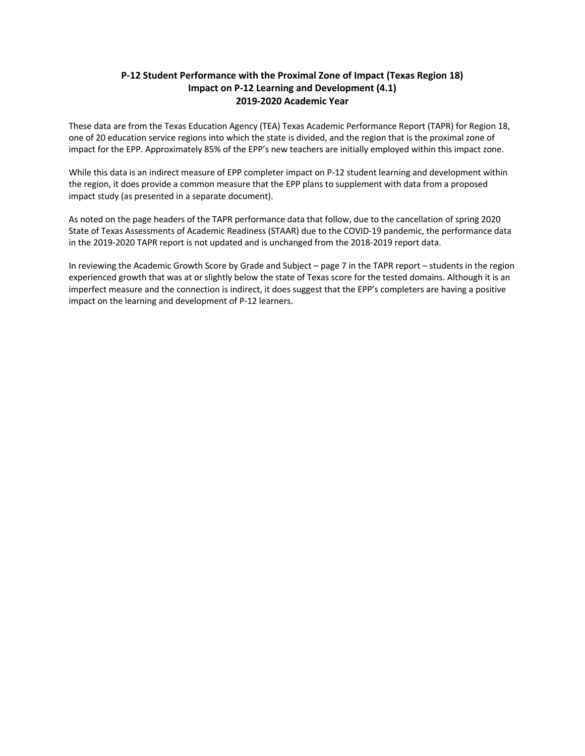## **P-12 Student Performance with the Proximal Zone of Impact (Texas Region 18) Impact on P-12 Learning and Development (4.1) 2019-2020 Academic Year**

These data are from the Texas Education Agency (TEA) Texas Academic Performance Report (TAPR) for Region 18, one of 20 education service regions into which the state is divided, and the region that is the proximal zone of impact for the EPP. Approximately 85% of the EPP's new teachers are initially employed within this impact zone.

While this data is an indirect measure of EPP completer impact on P-12 student learning and development within the region, it does provide a common measure that the EPP plans to supplement with data from a proposed impact study (as presented in a separate document).

As noted on the page headers of the TAPR performance data that follow, due to the cancellation of spring 2020 State of Texas Assessments of Academic Readiness (STAAR) due to the COVID-19 pandemic, the performance data in the 2019-2020 TAPR report is not updated and is unchanged from the 2018-2019 report data.

In reviewing the Academic Growth Score by Grade and Subject – page 7 in the TAPR report – students in the region experienced growth that was at or slightly below the state of Texas score for the tested domains. Although it is an imperfect measure and the connection is indirect, it does suggest that the EPP's completers are having a positive impact on the learning and development of P-12 learners.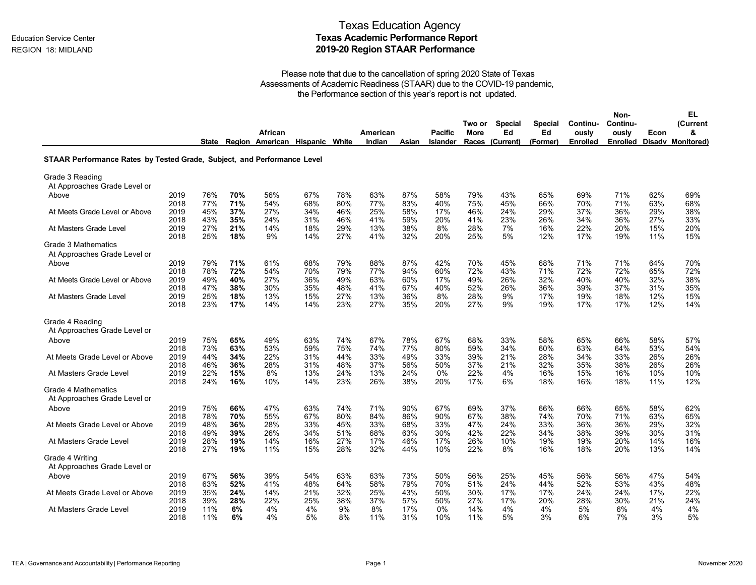|                                                                         |      |       |     | African                        |     |     | American |       | Pacific         | Two or<br><b>More</b> | <b>Special</b><br>Ed | <b>Special</b><br>Ed | Continu-<br>ously | Non-<br>Continu-<br>ously | Econ | EL<br>(Current<br>& |
|-------------------------------------------------------------------------|------|-------|-----|--------------------------------|-----|-----|----------|-------|-----------------|-----------------------|----------------------|----------------------|-------------------|---------------------------|------|---------------------|
|                                                                         |      | State |     | Region American Hispanic White |     |     | Indian   | Asian | <b>Islander</b> |                       | Races (Current)      | (Former)             | <b>Enrolled</b>   | Enrolled                  |      | Disady Monitored)   |
| STAAR Performance Rates by Tested Grade, Subject, and Performance Level |      |       |     |                                |     |     |          |       |                 |                       |                      |                      |                   |                           |      |                     |
| Grade 3 Reading<br>At Approaches Grade Level or                         |      |       |     |                                |     |     |          |       |                 |                       |                      |                      |                   |                           |      |                     |
| Above                                                                   | 2019 | 76%   | 70% | 56%                            | 67% | 78% | 63%      | 87%   | 58%             | 79%                   | 43%                  | 65%                  | 69%               | 71%                       | 62%  | 69%                 |
|                                                                         | 2018 | 77%   | 71% | 54%                            | 68% | 80% | 77%      | 83%   | 40%             | 75%                   | 45%                  | 66%                  | 70%               | 71%                       | 63%  | 68%                 |
| At Meets Grade Level or Above                                           | 2019 | 45%   | 37% | 27%                            | 34% | 46% | 25%      | 58%   | 17%             | 46%                   | 24%                  | 29%                  | 37%               | 36%                       | 29%  | 38%                 |
|                                                                         | 2018 | 43%   | 35% | 24%                            | 31% | 46% | 41%      | 59%   | 20%             | 41%                   | 23%                  | 26%                  | 34%               | 36%                       | 27%  | 33%                 |
| At Masters Grade Level                                                  | 2019 | 27%   | 21% | 14%                            | 18% | 29% | 13%      | 38%   | 8%              | 28%                   | 7%                   | 16%                  | 22%               | 20%                       | 15%  | 20%                 |
|                                                                         | 2018 | 25%   | 18% | 9%                             | 14% | 27% | 41%      | 32%   | 20%             | 25%                   | 5%                   | 12%                  | 17%               | 19%                       | 11%  | 15%                 |
| <b>Grade 3 Mathematics</b><br>At Approaches Grade Level or              |      |       |     |                                |     |     |          |       |                 |                       |                      |                      |                   |                           |      |                     |
| Above                                                                   | 2019 | 79%   | 71% | 61%                            | 68% | 79% | 88%      | 87%   | 42%             | 70%                   | 45%                  | 68%                  | 71%               | 71%                       | 64%  | 70%                 |
|                                                                         | 2018 | 78%   | 72% | 54%                            | 70% | 79% | 77%      | 94%   | 60%             | 72%                   | 43%                  | 71%                  | 72%               | 72%                       | 65%  | 72%                 |
| At Meets Grade Level or Above                                           | 2019 | 49%   | 40% | 27%                            | 36% | 49% | 63%      | 60%   | 17%             | 49%                   | 26%                  | 32%                  | 40%               | 40%                       | 32%  | 38%                 |
|                                                                         | 2018 | 47%   | 38% | 30%                            | 35% | 48% | 41%      | 67%   | 40%             | 52%                   | 26%                  | 36%                  | 39%               | 37%                       | 31%  | 35%                 |
| At Masters Grade Level                                                  | 2019 | 25%   | 18% | 13%                            | 15% | 27% | 13%      | 36%   | 8%              | 28%                   | 9%                   | 17%                  | 19%               | 18%                       | 12%  | 15%                 |
|                                                                         | 2018 | 23%   | 17% | 14%                            | 14% | 23% | 27%      | 35%   | 20%             | 27%                   | 9%                   | 19%                  | 17%               | 17%                       | 12%  | 14%                 |
| Grade 4 Reading                                                         |      |       |     |                                |     |     |          |       |                 |                       |                      |                      |                   |                           |      |                     |
| At Approaches Grade Level or<br>Above                                   | 2019 | 75%   | 65% | 49%                            | 63% | 74% | 67%      | 78%   | 67%             | 68%                   | 33%                  | 58%                  | 65%               | 66%                       | 58%  | 57%                 |
| At Meets Grade Level or Above                                           | 2018 | 73%   | 63% | 53%                            | 59% | 75% | 74%      | 77%   | 80%             | 59%                   | 34%                  | 60%                  | 63%               | 64%                       | 53%  | 54%                 |
|                                                                         | 2019 | 44%   | 34% | 22%                            | 31% | 44% | 33%      | 49%   | 33%             | 39%                   | 21%                  | 28%                  | 34%               | 33%                       | 26%  | 26%                 |
| At Masters Grade Level                                                  | 2018 | 46%   | 36% | 28%                            | 31% | 48% | 37%      | 56%   | 50%             | 37%                   | 21%                  | 32%                  | 35%               | 38%                       | 26%  | 26%                 |
|                                                                         | 2019 | 22%   | 15% | 8%                             | 13% | 24% | 13%      | 24%   | $0\%$           | 22%                   | 4%                   | 16%                  | 15%               | 16%                       | 10%  | 10%                 |
|                                                                         | 2018 | 24%   | 16% | 10%                            | 14% | 23% | 26%      | 38%   | 20%             | 17%                   | 6%                   | 18%                  | 16%               | 18%                       | 11%  | 12%                 |
| Grade 4 Mathematics<br>At Approaches Grade Level or                     |      |       |     |                                |     |     |          |       |                 |                       |                      |                      |                   |                           |      |                     |
| Above                                                                   | 2019 | 75%   | 66% | 47%                            | 63% | 74% | 71%      | 90%   | 67%             | 69%                   | 37%                  | 66%                  | 66%               | 65%                       | 58%  | 62%                 |
|                                                                         | 2018 | 78%   | 70% | 55%                            | 67% | 80% | 84%      | 86%   | 90%             | 67%                   | 38%                  | 74%                  | 70%               | 71%                       | 63%  | 65%                 |
| At Meets Grade Level or Above                                           | 2019 | 48%   | 36% | 28%                            | 33% | 45% | 33%      | 68%   | 33%             | 47%                   | 24%                  | 33%                  | 36%               | 36%                       | 29%  | 32%                 |
|                                                                         | 2018 | 49%   | 39% | 26%                            | 34% | 51% | 68%      | 63%   | 30%             | 42%                   | 22%                  | 34%                  | 38%               | 39%                       | 30%  | 31%                 |
| At Masters Grade Level                                                  | 2019 | 28%   | 19% | 14%                            | 16% | 27% | 17%      | 46%   | 17%             | 26%                   | 10%                  | 19%                  | 19%               | 20%                       | 14%  | 16%                 |
|                                                                         | 2018 | 27%   | 19% | 11%                            | 15% | 28% | 32%      | 44%   | 10%             | 22%                   | 8%                   | 16%                  | 18%               | 20%                       | 13%  | 14%                 |
| Grade 4 Writing<br>At Approaches Grade Level or                         |      |       |     |                                |     |     |          |       |                 |                       |                      |                      |                   |                           |      |                     |
| Above                                                                   | 2019 | 67%   | 56% | 39%                            | 54% | 63% | 63%      | 73%   | 50%             | 56%                   | 25%                  | 45%                  | 56%               | 56%                       | 47%  | 54%                 |
|                                                                         | 2018 | 63%   | 52% | 41%                            | 48% | 64% | 58%      | 79%   | 70%             | 51%                   | 24%                  | 44%                  | 52%               | 53%                       | 43%  | 48%                 |
| At Meets Grade Level or Above                                           | 2019 | 35%   | 24% | 14%                            | 21% | 32% | 25%      | 43%   | 50%             | 30%                   | 17%                  | 17%                  | 24%               | 24%                       | 17%  | 22%                 |
|                                                                         | 2018 | 39%   | 28% | 22%                            | 25% | 38% | 37%      | 57%   | 50%             | 27%                   | 17%                  | 20%                  | 28%               | 30%                       | 21%  | 24%                 |
| At Masters Grade Level                                                  | 2019 | 11%   | 6%  | 4%                             | 4%  | 9%  | 8%       | 17%   | 0%              | 14%                   | 4%                   | 4%                   | 5%                | 6%                        | 4%   | 4%                  |
|                                                                         | 2018 | 11%   | 6%  | 4%                             | 5%  | 8%  | 11%      | 31%   | 10%             | 11%                   | 5%                   | 3%                   | 6%                | 7%                        | 3%   | 5%                  |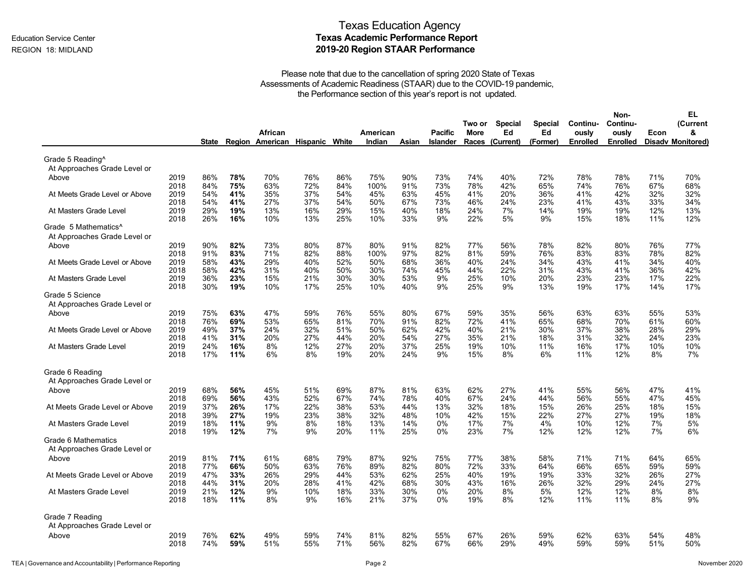|                               |              |            |            |                          |            |            |             |            |                |             |                 |                |            | Non-            |            | EL                       |
|-------------------------------|--------------|------------|------------|--------------------------|------------|------------|-------------|------------|----------------|-------------|-----------------|----------------|------------|-----------------|------------|--------------------------|
|                               |              |            |            |                          |            |            |             |            |                | Two or      | <b>Special</b>  | <b>Special</b> | Continu-   | Continu-        |            | (Current                 |
|                               |              |            |            | African                  |            |            | American    |            | <b>Pacific</b> | <b>More</b> | Ed              | Ed             | ously      | ously           | Econ       | &                        |
|                               |              | State      |            | Region American Hispanic |            | White      | Indian      | Asian      | Islander       |             | Races (Current) | (Former)       | Enrolled   | <b>Enrolled</b> |            | <b>Disadv Monitored)</b> |
| Grade 5 Reading <sup>^</sup>  |              |            |            |                          |            |            |             |            |                |             |                 |                |            |                 |            |                          |
| At Approaches Grade Level or  |              |            |            |                          |            |            |             |            |                |             |                 |                |            |                 |            |                          |
| Above                         | 2019         | 86%        | 78%        | 70%                      | 76%        | 86%        | 75%         | 90%        | 73%            | 74%         | 40%             | 72%            | 78%        | 78%             | 71%        | 70%                      |
|                               | 2018         | 84%        | 75%        | 63%                      | 72%        | 84%        | 100%        | 91%        | 73%            | 78%         | 42%             | 65%            | 74%        | 76%             | 67%        | 68%                      |
| At Meets Grade Level or Above | 2019<br>2018 | 54%<br>54% | 41%<br>41% | 35%<br>27%               | 37%<br>37% | 54%<br>54% | 45%<br>50%  | 63%<br>67% | 45%<br>73%     | 41%<br>46%  | 20%<br>24%      | 36%<br>23%     | 41%<br>41% | 42%<br>43%      | 32%<br>33% | 32%<br>34%               |
| At Masters Grade Level        | 2019<br>2018 | 29%<br>26% | 19%<br>16% | 13%<br>10%               | 16%<br>13% | 29%<br>25% | 15%<br>10%  | 40%<br>33% | 18%<br>9%      | 24%<br>22%  | 7%<br>5%        | 14%<br>9%      | 19%<br>15% | 19%<br>18%      | 12%<br>11% | 13%<br>12%               |
| Grade 5 Mathematics^          |              |            |            |                          |            |            |             |            |                |             |                 |                |            |                 |            |                          |
| At Approaches Grade Level or  |              |            |            |                          |            |            |             |            |                |             |                 |                |            |                 |            |                          |
| Above                         | 2019<br>2018 | 90%<br>91% | 82%<br>83% | 73%<br>71%               | 80%<br>82% | 87%<br>88% | 80%<br>100% | 91%<br>97% | 82%<br>82%     | 77%<br>81%  | 56%<br>59%      | 78%<br>76%     | 82%<br>83% | 80%<br>83%      | 76%<br>78% | 77%<br>82%               |
| At Meets Grade Level or Above | 2019         | 58%        | 43%        | 29%                      | 40%        | 52%        | 50%         | 68%        | 36%            | 40%         | 24%             | 34%            | 43%        | 41%             | 34%        | 40%                      |
|                               | 2018         | 58%        | 42%        | 31%                      | 40%        | 50%        | 30%         | 74%        | 45%            | 44%         | 22%             | 31%            | 43%        | 41%             | 36%        | 42%                      |
| At Masters Grade Level        | 2019<br>2018 | 36%<br>30% | 23%<br>19% | 15%<br>10%               | 21%<br>17% | 30%<br>25% | 30%<br>10%  | 53%<br>40% | 9%<br>9%       | 25%<br>25%  | 10%<br>9%       | 20%<br>13%     | 23%<br>19% | 23%<br>17%      | 17%<br>14% | 22%<br>17%               |
| Grade 5 Science               |              |            |            |                          |            |            |             |            |                |             |                 |                |            |                 |            |                          |
| At Approaches Grade Level or  |              |            |            |                          |            |            |             |            |                |             |                 |                |            |                 |            |                          |
| Above                         | 2019         | 75%        | 63%        | 47%                      | 59%        | 76%        | 55%         | 80%        | 67%            | 59%         | 35%             | 56%            | 63%        | 63%             | 55%        | 53%                      |
|                               | 2018         | 76%        | 69%        | 53%                      | 65%        | 81%        | 70%         | 91%        | 82%            | 72%         | 41%             | 65%            | 68%        | 70%             | 61%        | 60%                      |
| At Meets Grade Level or Above | 2019         | 49%        | 37%        | 24%                      | 32%        | 51%        | 50%         | 62%        | 42%            | 40%         | 21%             | 30%            | 37%        | 38%             | 28%        | 29%                      |
|                               | 2018         | 41%        | 31%        | 20%                      | 27%        | 44%        | 20%         | 54%        | 27%            | 35%         | 21%             | 18%            | 31%        | 32%             | 24%        | 23%                      |
| At Masters Grade Level        | 2019<br>2018 | 24%<br>17% | 16%<br>11% | 8%<br>6%                 | 12%<br>8%  | 27%<br>19% | 20%<br>20%  | 37%<br>24% | 25%<br>9%      | 19%<br>15%  | 10%<br>8%       | 11%<br>6%      | 16%<br>11% | 17%<br>12%      | 10%<br>8%  | 10%<br>7%                |
|                               |              |            |            |                          |            |            |             |            |                |             |                 |                |            |                 |            |                          |
| Grade 6 Reading               |              |            |            |                          |            |            |             |            |                |             |                 |                |            |                 |            |                          |
| At Approaches Grade Level or  |              |            |            |                          |            |            |             |            |                |             |                 |                |            |                 |            |                          |
| Above                         | 2019         | 68%        | 56%        | 45%                      | 51%        | 69%        | 87%         | 81%        | 63%            | 62%         | 27%             | 41%            | 55%        | 56%             | 47%        | 41%                      |
|                               | 2018         | 69%        | 56%        | 43%                      | 52%        | 67%        | 74%         | 78%        | 40%            | 67%         | 24%             | 44%            | 56%        | 55%             | 47%        | 45%                      |
| At Meets Grade Level or Above | 2019         | 37%        | 26%        | 17%                      | 22%        | 38%        | 53%         | 44%        | 13%            | 32%         | 18%             | 15%            | 26%        | 25%             | 18%        | 15%                      |
|                               | 2018         | 39%        | 27%        | 19%                      | 23%        | 38%        | 32%         | 48%        | 10%            | 42%         | 15%             | 22%            | 27%        | 27%             | 19%        | 18%                      |
| At Masters Grade Level        | 2019<br>2018 | 18%<br>19% | 11%<br>12% | 9%<br>7%                 | 8%<br>9%   | 18%<br>20% | 13%<br>11%  | 14%<br>25% | 0%<br>0%       | 17%<br>23%  | 7%<br>7%        | 4%<br>12%      | 10%<br>12% | 12%<br>12%      | 7%<br>7%   | 5%<br>6%                 |
| Grade 6 Mathematics           |              |            |            |                          |            |            |             |            |                |             |                 |                |            |                 |            |                          |
| At Approaches Grade Level or  |              |            |            |                          |            |            |             |            |                |             |                 |                |            |                 |            |                          |
| Above                         | 2019         | 81%        | 71%        | 61%                      | 68%        | 79%        | 87%         | 92%        | 75%            | 77%         | 38%             | 58%            | 71%        | 71%             | 64%        | 65%                      |
|                               | 2018         | 77%        | 66%        | 50%                      | 63%        | 76%        | 89%         | 82%        | 80%            | 72%         | 33%             | 64%            | 66%        | 65%             | 59%        | 59%                      |
| At Meets Grade Level or Above | 2019         | 47%        | 33%        | 26%                      | 29%        | 44%        | 53%         | 62%        | 25%            | 40%         | 19%             | 19%            | 33%        | 32%             | 26%        | 27%                      |
|                               | 2018         | 44%        | 31%        | 20%                      | 28%        | 41%        | 42%         | 68%        | 30%            | 43%         | 16%             | 26%            | 32%        | 29%             | 24%        | 27%                      |
| At Masters Grade Level        | 2019         | 21%        | 12%        | 9%                       | 10%        | 18%        | 33%         | 30%        | 0%             | 20%         | 8%              | 5%             | 12%        | 12%             | 8%         | 8%                       |
|                               | 2018         | 18%        | 11%        | 8%                       | 9%         | 16%        | 21%         | 37%        | 0%             | 19%         | 8%              | 12%            | 11%        | 11%             | 8%         | 9%                       |
| Grade 7 Reading               |              |            |            |                          |            |            |             |            |                |             |                 |                |            |                 |            |                          |
| At Approaches Grade Level or  |              |            |            |                          |            |            |             |            |                |             |                 |                |            |                 |            |                          |
| Above                         | 2019         | 76%        | 62%        | 49%                      | 59%        | 74%        | 81%         | 82%        | 55%            | 67%         | 26%             | 59%            | 62%        | 63%             | 54%        | 48%                      |
|                               | 2018         | 74%        | 59%        | 51%                      | 55%        | 71%        | 56%         | 82%        | 67%            | 66%         | 29%             | 49%            | 59%        | 59%             | 51%        | 50%                      |
|                               |              |            |            |                          |            |            |             |            |                |             |                 |                |            |                 |            |                          |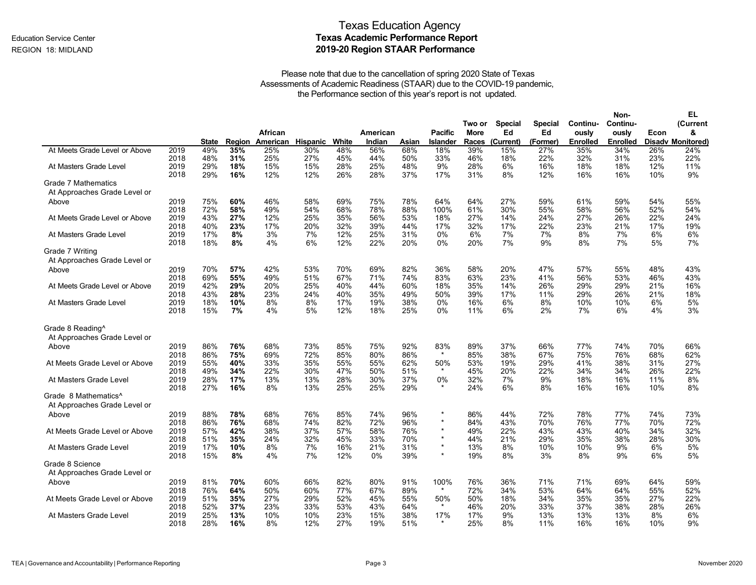|                                                                  |              |              |            |           |            |            |            |            |                 |                       |                      |                      |                   | Non-              |            | EL                       |
|------------------------------------------------------------------|--------------|--------------|------------|-----------|------------|------------|------------|------------|-----------------|-----------------------|----------------------|----------------------|-------------------|-------------------|------------|--------------------------|
|                                                                  |              |              |            | African   |            |            | American   |            | <b>Pacific</b>  | Two or<br><b>More</b> | <b>Special</b><br>Ed | <b>Special</b><br>Ed | Continu-<br>ously | Continu-<br>ously | Econ       | (Current<br>&            |
|                                                                  |              | <b>State</b> | Region     | American  | Hispanic   | White      | Indian     | Asian      | <b>Islander</b> | Races                 | (Current)            | (Former)             | <b>Enrolled</b>   | <b>Enrolled</b>   |            | <b>Disadv Monitored)</b> |
| At Meets Grade Level or Above                                    | 2019         | 49%          | 35%        | 25%       | 30%        | 48%        | 56%        | 68%        | 18%             | 39%                   | 15%                  | 27%                  | 35%               | 34%               | 26%        | 24%                      |
|                                                                  | 2018         | 48%          | 31%        | 25%       | 27%        | 45%        | 44%        | 50%        | 33%             | 46%                   | 18%                  | 22%                  | 32%               | 31%               | 23%        | 22%                      |
| At Masters Grade Level                                           | 2019         | 29%          | 18%        | 15%       | 15%        | 28%        | 25%        | 48%        | 9%              | 28%                   | 6%                   | 16%                  | 18%               | 18%               | 12%        | 11%                      |
|                                                                  | 2018         | 29%          | 16%        | 12%       | 12%        | 26%        | 28%        | 37%        | 17%             | 31%                   | 8%                   | 12%                  | 16%               | 16%               | 10%        | 9%                       |
| <b>Grade 7 Mathematics</b><br>At Approaches Grade Level or       |              |              |            |           |            |            |            |            |                 |                       |                      |                      |                   |                   |            |                          |
| Above                                                            | 2019         | 75%          | 60%        | 46%       | 58%        | 69%        | 75%        | 78%        | 64%             | 64%                   | 27%                  | 59%                  | 61%               | 59%               | 54%        | 55%                      |
|                                                                  | 2018         | 72%          | 58%        | 49%       | 54%        | 68%        | 78%        | 88%        | 100%            | 61%                   | 30%                  | 55%                  | 58%               | 56%               | 52%        | 54%                      |
| At Meets Grade Level or Above                                    | 2019         | 43%          | 27%        | 12%       | 25%        | 35%        | 56%        | 53%        | 18%             | 27%                   | 14%                  | 24%                  | 27%               | 26%               | 22%        | 24%                      |
|                                                                  | 2018         | 40%          | 23%        | 17%       | 20%        | 32%        | 39%        | 44%        | 17%             | 32%                   | 17%                  | 22%                  | 23%               | 21%               | 17%        | 19%                      |
| At Masters Grade Level                                           | 2019         | 17%          | 8%         | 3%        | 7%         | 12%        | 25%        | 31%        | $0\%$           | 6%                    | 7%                   | 7%                   | 8%                | 7%                | 6%         | 6%                       |
|                                                                  | 2018         | 18%          | 8%         | 4%        | 6%         | 12%        | 22%        | 20%        | 0%              | 20%                   | 7%                   | 9%                   | 8%                | 7%                | 5%         | 7%                       |
| Grade 7 Writing<br>At Approaches Grade Level or                  |              |              |            |           |            |            |            |            |                 |                       |                      |                      |                   |                   |            |                          |
| Above                                                            | 2019         | 70%          | 57%        | 42%       | 53%        | 70%        | 69%        | 82%        | 36%             | 58%                   | 20%                  | 47%                  | 57%               | 55%               | 48%        | 43%                      |
|                                                                  | 2018         | 69%          | 55%        | 49%       | 51%        | 67%        | 71%        | 74%        | 83%             | 63%                   | 23%                  | 41%                  | 56%               | 53%               | 46%        | 43%                      |
| At Meets Grade Level or Above                                    | 2019         | 42%          | 29%        | 20%       | 25%        | 40%        | 44%        | 60%        | 18%             | 35%                   | 14%                  | 26%                  | 29%               | 29%               | 21%        | 16%                      |
|                                                                  | 2018         | 43%          | 28%        | 23%       | 24%        | 40%        | 35%        | 49%        | 50%             | 39%                   | 17%                  | 11%                  | 29%               | 26%               | 21%        | 18%                      |
| At Masters Grade Level                                           | 2019         | 18%          | 10%        | 8%        | 8%         | 17%        | 19%        | 38%        | 0%              | 16%                   | 6%                   | 8%                   | 10%               | 10%               | 6%         | 5%                       |
|                                                                  | 2018         | 15%          | 7%         | 4%        | 5%         | 12%        | 18%        | 25%        | 0%              | 11%                   | 6%                   | 2%                   | 7%                | 6%                | 4%         | 3%                       |
| Grade 8 Reading <sup>^</sup>                                     |              |              |            |           |            |            |            |            |                 |                       |                      |                      |                   |                   |            |                          |
| At Approaches Grade Level or<br>Above                            | 2019         | 86%          | 76%        | 68%       | 73%        | 85%        | 75%        | 92%        | 83%             | 89%                   | 37%                  | 66%                  | 77%               | 74%               | 70%        | 66%                      |
| At Meets Grade Level or Above                                    | 2018         | 86%          | 75%        | 69%       | 72%        | 85%        | 80%        | 86%        | $\star$         | 85%                   | 38%                  | 67%                  | 75%               | 76%               | 68%        | 62%                      |
|                                                                  | 2019         | 55%          | 40%        | 33%       | 35%        | 55%        | 55%        | 62%        | 50%             | 53%                   | 19%                  | 29%                  | 41%               | 38%               | 31%        | 27%                      |
|                                                                  | 2018         | 49%          | 34%        | 22%       | 30%        | 47%        | 50%        | 51%        | $\star$         | 45%                   | 20%                  | 22%                  | 34%               | 34%               | 26%        | 22%                      |
| At Masters Grade Level                                           | 2019<br>2018 | 28%<br>27%   | 17%<br>16% | 13%<br>8% | 13%<br>13% | 28%<br>25% | 30%<br>25% | 37%<br>29% | 0%              | 32%<br>24%            | 7%<br>6%             | 9%<br>8%             | 18%<br>16%        | 16%<br>16%        | 11%<br>10% | 8%<br>8%                 |
| Grade 8 Mathematics <sup>^</sup><br>At Approaches Grade Level or |              |              |            |           |            |            |            |            |                 |                       |                      |                      |                   |                   |            |                          |
| Above                                                            | 2019         | 88%          | 78%        | 68%       | 76%        | 85%        | 74%        | 96%        | $\star$         | 86%                   | 44%                  | 72%                  | 78%               | 77%               | 74%        | 73%                      |
|                                                                  | 2018         | 86%          | 76%        | 68%       | 74%        | 82%        | 72%        | 96%        | $\star$         | 84%                   | 43%                  | 70%                  | 76%               | 77%               | 70%        | 72%                      |
| At Meets Grade Level or Above                                    | 2019         | 57%          | 42%        | 38%       | 37%        | 57%        | 58%        | 76%        | $\star$         | 49%                   | 22%                  | 43%                  | 43%               | 40%               | 34%        | 32%                      |
|                                                                  | 2018         | 51%          | 35%        | 24%       | 32%        | 45%        | 33%        | 70%        | $\star$         | 44%                   | 21%                  | 29%                  | 35%               | 38%               | 28%        | 30%                      |
| At Masters Grade Level                                           | 2019         | 17%          | 10%        | 8%        | 7%         | 16%        | 21%        | 31%        | $\star$         | 13%                   | 8%                   | 10%                  | 10%               | 9%                | 6%         | 5%                       |
|                                                                  | 2018         | 15%          | 8%         | 4%        | 7%         | 12%        | $0\%$      | 39%        | $\star$         | 19%                   | 8%                   | 3%                   | 8%                | 9%                | 6%         | 5%                       |
| Grade 8 Science<br>At Approaches Grade Level or                  |              |              |            |           |            |            |            |            |                 |                       |                      |                      |                   |                   |            |                          |
| Above                                                            | 2019         | 81%          | 70%        | 60%       | 66%        | 82%        | 80%        | 91%        | 100%            | 76%                   | 36%                  | 71%                  | 71%               | 69%               | 64%        | 59%                      |
|                                                                  | 2018         | 76%          | 64%        | 50%       | 60%        | 77%        | 67%        | 89%        | $\star$         | 72%                   | 34%                  | 53%                  | 64%               | 64%               | 55%        | 52%                      |
| At Meets Grade Level or Above                                    | 2019         | 51%          | 35%        | 27%       | 29%        | 52%        | 45%        | 55%        | 50%             | 50%                   | 18%                  | 34%                  | 35%               | 35%               | 27%        | 22%                      |
|                                                                  | 2018         | 52%          | 37%        | 23%       | 33%        | 53%        | 43%        | 64%        | $\star$         | 46%                   | 20%                  | 33%                  | 37%               | 38%               | 28%        | 26%                      |
| At Masters Grade Level                                           | 2019         | 25%          | 13%        | 10%       | 10%        | 23%        | 15%        | 38%        | 17%             | 17%                   | 9%                   | 13%                  | 13%               | 13%               | 8%         | 6%                       |
|                                                                  | 2018         | 28%          | 16%        | 8%        | 12%        | 27%        | 19%        | 51%        | $\star$         | 25%                   | 8%                   | 11%                  | 16%               | 16%               | 10%        | 9%                       |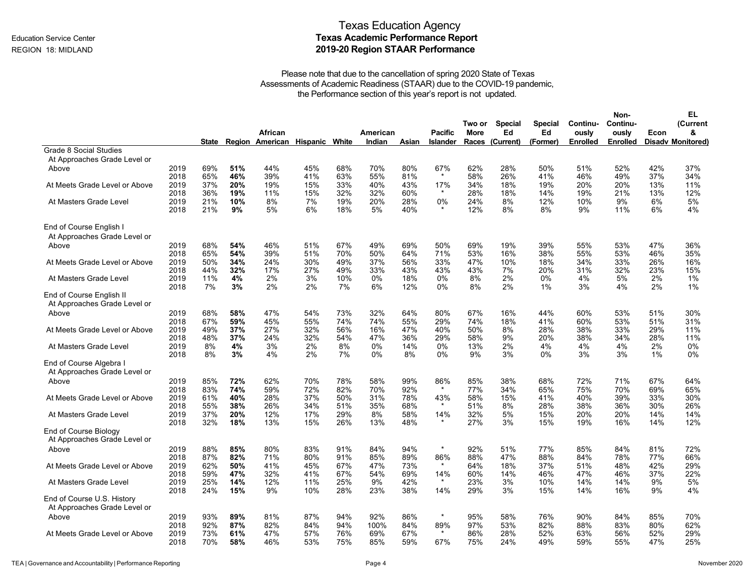|                                                            |              |            |                                |            |            |             |            |                 |                       |                      |                      |                   | Non-              |            | EL                       |
|------------------------------------------------------------|--------------|------------|--------------------------------|------------|------------|-------------|------------|-----------------|-----------------------|----------------------|----------------------|-------------------|-------------------|------------|--------------------------|
|                                                            |              |            | African                        |            |            | American    |            | <b>Pacific</b>  | Two or<br><b>More</b> | <b>Special</b><br>Ed | <b>Special</b><br>Ed | Continu-<br>ously | Continu-<br>ously | Econ       | (Current<br>&            |
|                                                            | <b>State</b> |            | Region American Hispanic White |            |            | Indian      | Asian      | <b>Islander</b> | Races                 | (Current)            | (Former)             | <b>Enrolled</b>   | <b>Enrolled</b>   |            | <b>Disady Monitored)</b> |
| <b>Grade 8 Social Studies</b>                              |              |            |                                |            |            |             |            |                 |                       |                      |                      |                   |                   |            |                          |
| At Approaches Grade Level or                               |              |            |                                |            |            |             |            |                 |                       |                      |                      |                   |                   |            |                          |
| 2019<br>Above                                              | 69%          | 51%        | 44%                            | 45%        | 68%        | 70%         | 80%        | 67%             | 62%                   | 28%                  | 50%                  | 51%               | 52%               | 42%        | 37%                      |
| 2018                                                       | 65%          | 46%        | 39%                            | 41%        | 63%        | 55%         | 81%        | $\star$         | 58%                   | 26%                  | 41%                  | 46%               | 49%               | 37%        | 34%                      |
| At Meets Grade Level or Above<br>2019                      | 37%          | 20%        | 19%                            | 15%        | 33%        | 40%         | 43%        | 17%             | 34%                   | 18%                  | 19%                  | 20%               | 20%               | 13%        | 11%                      |
| 2018<br>2019<br>At Masters Grade Level                     | 36%<br>21%   | 19%<br>10% | 11%<br>8%                      | 15%<br>7%  | 32%<br>19% | 32%<br>20%  | 60%<br>28% | 0%              | 28%<br>24%            | 18%<br>8%            | 14%<br>12%           | 19%<br>10%        | 21%<br>9%         | 13%<br>6%  | 12%<br>5%                |
| 2018                                                       | 21%          | 9%         | 5%                             | 6%         | 18%        | 5%          | 40%        | $\star$         | 12%                   | 8%                   | 8%                   | 9%                | 11%               | 6%         | 4%                       |
| End of Course English I                                    |              |            |                                |            |            |             |            |                 |                       |                      |                      |                   |                   |            |                          |
| At Approaches Grade Level or                               |              |            |                                |            |            |             |            |                 |                       |                      |                      |                   |                   |            |                          |
| 2019<br>Above<br>2018                                      | 68%<br>65%   | 54%<br>54% | 46%<br>39%                     | 51%<br>51% | 67%<br>70% | 49%<br>50%  | 69%<br>64% | 50%<br>71%      | 69%<br>53%            | 19%<br>16%           | 39%<br>38%           | 55%<br>55%        | 53%<br>53%        | 47%<br>46% | 36%<br>35%               |
| 2019<br>At Meets Grade Level or Above<br>2018              | 50%<br>44%   | 34%<br>32% | 24%<br>17%                     | 30%<br>27% | 49%<br>49% | 37%<br>33%  | 56%<br>43% | 33%<br>43%      | 47%<br>43%            | 10%<br>7%            | 18%<br>20%           | 34%<br>31%        | 33%<br>32%        | 26%<br>23% | 16%<br>15%               |
| 2019<br>At Masters Grade Level<br>2018                     | 11%<br>7%    | 4%<br>3%   | 2%<br>2%                       | 3%<br>2%   | 10%<br>7%  | 0%<br>6%    | 18%<br>12% | 0%<br>0%        | 8%<br>8%              | 2%<br>2%             | 0%<br>1%             | 4%<br>3%          | 5%<br>4%          | 2%<br>2%   | $1\%$<br>1%              |
| End of Course English II<br>At Approaches Grade Level or   |              |            |                                |            |            |             |            |                 |                       |                      |                      |                   |                   |            |                          |
| 2019<br>Above<br>2018                                      | 68%<br>67%   | 58%<br>59% | 47%<br>45%                     | 54%<br>55% | 73%<br>74% | 32%<br>74%  | 64%<br>55% | 80%<br>29%      | 67%<br>74%            | 16%<br>18%           | 44%<br>41%           | 60%<br>60%        | 53%<br>53%        | 51%<br>51% | 30%<br>31%               |
| 2019<br>At Meets Grade Level or Above<br>2018              | 49%<br>48%   | 37%<br>37% | 27%<br>24%                     | 32%<br>32% | 56%<br>54% | 16%<br>47%  | 47%<br>36% | 40%<br>29%      | 50%<br>58%            | 8%<br>9%             | 28%<br>20%           | 38%<br>38%        | 33%<br>34%        | 29%<br>28% | 11%<br>11%               |
| 2019<br>At Masters Grade Level<br>2018                     | 8%<br>8%     | 4%<br>3%   | 3%<br>4%                       | 2%<br>2%   | 8%<br>7%   | 0%<br>$0\%$ | 14%<br>8%  | 0%<br>$0\%$     | 13%<br>9%             | 2%<br>3%             | 4%<br>0%             | 4%<br>3%          | 4%<br>3%          | 2%<br>1%   | $0\%$<br>$0\%$           |
| End of Course Algebra I                                    |              |            |                                |            |            |             |            |                 |                       |                      |                      |                   |                   |            |                          |
| At Approaches Grade Level or                               |              |            |                                |            |            |             |            |                 |                       |                      |                      |                   |                   |            |                          |
| 2019<br>Above                                              | 85%          | 72%        | 62%                            | 70%        | 78%        | 58%         | 99%        | 86%             | 85%                   | 38%                  | 68%                  | 72%               | 71%               | 67%        | 64%                      |
| 2018                                                       | 83%          | 74%        | 59%                            | 72%        | 82%        | 70%         | 92%        | $\star$         | 77%                   | 34%                  | 65%                  | 75%               | 70%               | 69%        | 65%                      |
| 2019<br>At Meets Grade Level or Above                      | 61%          | 40%        | 28%                            | 37%        | 50%        | 31%         | 78%        | 43%             | 58%                   | 15%                  | 41%                  | 40%               | 39%               | 33%        | 30%                      |
| 2018                                                       | 55%<br>37%   | 38%<br>20% | 26%                            | 34%        | 51%<br>29% | 35%         | 68%        | $\star$<br>14%  | 51%<br>32%            | 8%                   | 28%                  | 38%               | 36%               | 30%        | 26%                      |
| At Masters Grade Level<br>2019<br>2018                     | 32%          | 18%        | 12%<br>13%                     | 17%<br>15% | 26%        | 8%<br>13%   | 58%<br>48% |                 | 27%                   | 5%<br>3%             | 15%<br>15%           | 20%<br>19%        | 20%<br>16%        | 14%<br>14% | 14%<br>12%               |
| End of Course Biology<br>At Approaches Grade Level or      |              |            |                                |            |            |             |            |                 |                       |                      |                      |                   |                   |            |                          |
| 2019<br>Above                                              | 88%          | 85%        | 80%                            | 83%        | 91%        | 84%         | 94%        | $\star$         | 92%                   | 51%                  | 77%                  | 85%               | 84%               | 81%        | 72%                      |
| 2018<br>2019<br>At Meets Grade Level or Above              | 87%<br>62%   | 82%<br>50% | 71%<br>41%                     | 80%<br>45% | 91%<br>67% | 85%<br>47%  | 89%<br>73% | 86%<br>$\star$  | 88%<br>64%            | 47%<br>18%           | 88%<br>37%           | 84%<br>51%        | 78%<br>48%        | 77%<br>42% | 66%<br>29%               |
| 2018                                                       | 59%          | 47%        | 32%                            | 41%        | 67%        | 54%         | 69%        | 14%             | 60%                   | 14%                  | 46%                  | 47%               | 46%               | 37%        | 22%                      |
| At Masters Grade Level<br>2019<br>2018                     | 25%<br>24%   | 14%<br>15% | 12%<br>9%                      | 11%<br>10% | 25%<br>28% | 9%<br>23%   | 42%<br>38% | $\star$<br>14%  | 23%<br>29%            | 3%<br>3%             | 10%<br>15%           | 14%<br>14%        | 14%<br>16%        | 9%<br>9%   | 5%<br>4%                 |
| End of Course U.S. History<br>At Approaches Grade Level or |              |            |                                |            |            |             |            |                 |                       |                      |                      |                   |                   |            |                          |
| 2019<br>Above                                              | 93%          | 89%        | 81%                            | 87%        | 94%        | 92%         | 86%        | $\star$         | 95%                   | 58%                  | 76%                  | 90%               | 84%               | 85%        | 70%                      |
| 2018                                                       | 92%          | 87%        | 82%                            | 84%        | 94%        | 100%        | 84%        | 89%             | 97%                   | 53%                  | 82%                  | 88%               | 83%               | 80%        | 62%                      |
| 2019<br>At Meets Grade Level or Above<br>2018              | 73%<br>70%   | 61%<br>58% | 47%<br>46%                     | 57%<br>53% | 76%<br>75% | 69%<br>85%  | 67%<br>59% | $\star$<br>67%  | 86%<br>75%            | 28%<br>24%           | 52%<br>49%           | 63%<br>59%        | 56%<br>55%        | 52%<br>47% | 29%<br>25%               |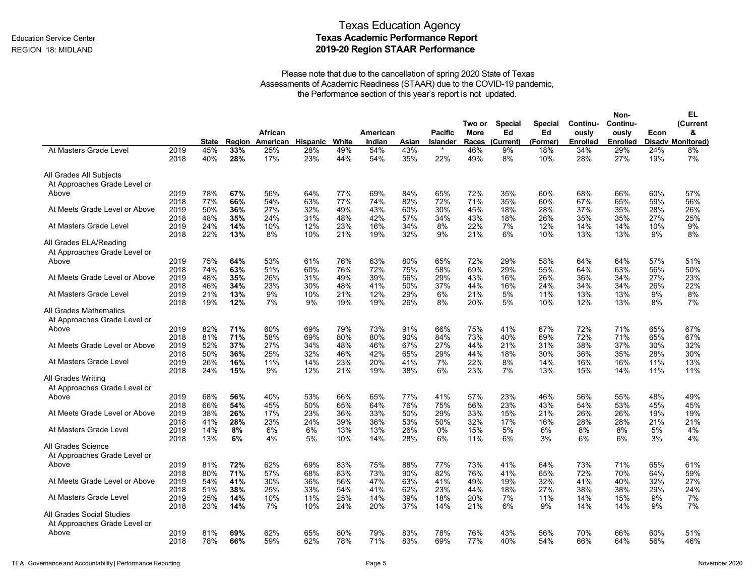|                                                           |              |              |            |                              |            |            |                    |            |                                   |             |                      |                |                          | Non-                     |            | EL                            |
|-----------------------------------------------------------|--------------|--------------|------------|------------------------------|------------|------------|--------------------|------------|-----------------------------------|-------------|----------------------|----------------|--------------------------|--------------------------|------------|-------------------------------|
|                                                           |              |              |            |                              |            |            |                    |            |                                   | Two or      | <b>Special</b><br>Ed | <b>Special</b> | Continu-                 | Continu-                 |            | (Current                      |
|                                                           |              | <b>State</b> | Region     | African<br>American Hispanic |            | White      | American<br>Indian | Asian      | <b>Pacific</b><br><b>Islander</b> | <b>More</b> | Races (Current)      | Ed<br>(Former) | ously<br><b>Enrolled</b> | ously<br><b>Enrolled</b> | Econ       | &<br><b>Disady Monitored)</b> |
| At Masters Grade Level                                    | 2019<br>2018 | 45%<br>40%   | 33%<br>28% | 25%<br>17%                   | 28%<br>23% | 49%<br>44% | 54%<br>54%         | 43%<br>35% | 22%                               | 46%<br>49%  | 9%<br>8%             | 18%<br>10%     | 34%<br>28%               | 29%<br>27%               | 24%<br>19% | 8%<br>7%                      |
| All Grades All Subjects<br>At Approaches Grade Level or   |              |              |            |                              |            |            |                    |            |                                   |             |                      |                |                          |                          |            |                               |
| Above                                                     | 2019         | 78%          | 67%        | 56%                          | 64%        | 77%        | 69%                | 84%        | 65%                               | 72%         | 35%                  | 60%            | 68%                      | 66%                      | 60%        | 57%                           |
|                                                           | 2018         | 77%          | 66%        | 54%                          | 63%        | 77%        | 74%                | 82%        | 72%                               | 71%         | 35%                  | 60%            | 67%                      | 65%                      | 59%        | 56%                           |
| At Meets Grade Level or Above                             | 2019         | 50%          | 36%        | 27%                          | 32%        | 49%        | 43%                | 60%        | 30%                               | 45%         | 18%                  | 28%            | 37%                      | 35%                      | 28%        | 26%                           |
|                                                           | 2018         | 48%          | 35%        | 24%                          | 31%        | 48%        | 42%                | 57%        | 34%                               | 43%         | 18%                  | 26%            | 35%                      | 35%                      | 27%        | 25%                           |
| At Masters Grade Level                                    | 2019         | 24%          | 14%        | 10%                          | 12%        | 23%        | 16%                | 34%        | 8%                                | 22%         | 7%                   | 12%            | 14%                      | 14%                      | 10%        | 9%                            |
|                                                           | 2018         | 22%          | 13%        | 8%                           | 10%        | 21%        | 19%                | 32%        | 9%                                | 21%         | 6%                   | 10%            | 13%                      | 13%                      | 9%         | 8%                            |
| All Grades ELA/Reading<br>At Approaches Grade Level or    |              |              |            |                              |            |            |                    |            |                                   |             |                      |                |                          |                          |            |                               |
| Above                                                     | 2019         | 75%          | 64%        | 53%                          | 61%        | 76%        | 63%                | 80%        | 65%                               | 72%         | 29%                  | 58%            | 64%                      | 64%                      | 57%        | 51%                           |
|                                                           | 2018         | 74%          | 63%        | 51%                          | 60%        | 76%        | 72%                | 75%        | 58%                               | 69%         | 29%                  | 55%            | 64%                      | 63%                      | 56%        | 50%                           |
| At Meets Grade Level or Above                             | 2019         | 48%          | 35%        | 26%                          | 31%        | 49%        | 39%                | 56%        | 29%                               | 43%         | 16%                  | 26%            | 36%                      | 34%                      | 27%        | 23%                           |
|                                                           | 2018         | 46%          | 34%        | 23%                          | 30%        | 48%        | 41%                | 50%        | 37%                               | 44%         | 16%                  | 24%            | 34%                      | 34%                      | 26%        | 22%                           |
| At Masters Grade Level                                    | 2019         | 21%          | 13%        | 9%                           | 10%        | 21%        | 12%                | 29%        | 6%                                | 21%         | 5%                   | 11%            | 13%                      | 13%                      | 9%         | 8%                            |
|                                                           | 2018         | 19%          | 12%        | 7%                           | 9%         | 19%        | 19%                | 26%        | 8%                                | 20%         | 5%                   | 10%            | 12%                      | 13%                      | 8%         | 7%                            |
| All Grades Mathematics<br>At Approaches Grade Level or    |              |              |            |                              |            |            |                    |            |                                   |             |                      |                |                          |                          |            |                               |
| Above                                                     | 2019         | 82%          | 71%        | 60%                          | 69%        | 79%        | 73%                | 91%        | 66%                               | 75%         | 41%                  | 67%            | 72%                      | 71%                      | 65%        | 67%                           |
|                                                           | 2018         | 81%          | 71%        | 58%                          | 69%        | 80%        | 80%                | 90%        | 84%                               | 73%         | 40%                  | 69%            | 72%                      | 71%                      | 65%        | 67%                           |
| At Meets Grade Level or Above                             | 2019         | 52%          | 37%        | 27%                          | 34%        | 48%        | 46%                | 67%        | 27%                               | 44%         | 21%                  | 31%            | 38%                      | 37%                      | 30%        | 32%                           |
|                                                           | 2018         | 50%          | 36%        | 25%                          | 32%        | 46%        | 42%                | 65%        | 29%                               | 44%         | 18%                  | 30%            | 36%                      | 35%                      | 28%        | 30%                           |
| At Masters Grade Level                                    | 2019         | 26%          | 16%        | 11%                          | 14%        | 23%        | 20%                | 41%        | 7%                                | 22%         | 8%                   | 14%            | 16%                      | 16%                      | 11%        | 13%                           |
|                                                           | 2018         | 24%          | 15%        | 9%                           | 12%        | 21%        | 19%                | 38%        | 6%                                | 23%         | 7%                   | 13%            | 15%                      | 14%                      | 11%        | 11%                           |
| All Grades Writing                                        |              |              |            |                              |            |            |                    |            |                                   |             |                      |                |                          |                          |            |                               |
| At Approaches Grade Level or                              |              |              |            |                              |            |            |                    |            |                                   |             |                      |                |                          |                          |            |                               |
| Above                                                     | 2019         | 68%          | 56%        | 40%                          | 53%        | 66%        | 65%                | 77%        | 41%                               | 57%         | 23%                  | 46%            | 56%                      | 55%                      | 48%        | 49%                           |
|                                                           | 2018         | 66%          | 54%        | 45%                          | 50%        | 65%        | 64%                | 76%        | 75%                               | 56%         | 23%                  | 43%            | 54%                      | 53%                      | 45%        | 45%                           |
| At Meets Grade Level or Above                             | 2019         | 38%          | 26%        | 17%                          | 23%        | 36%        | 33%                | 50%        | 29%                               | 33%         | 15%                  | 21%            | 26%                      | 26%                      | 19%        | 19%                           |
|                                                           | 2018         | 41%          | 28%        | 23%                          | 24%        | 39%        | 36%                | 53%        | 50%                               | 32%         | 17%                  | 16%            | 28%                      | 28%                      | 21%        | 21%                           |
| At Masters Grade Level                                    | 2019         | 14%          | 8%         | 6%                           | 6%         | 13%        | 13%                | 26%        | 0%                                | 15%         | 5%                   | 6%             | 8%                       | 8%                       | 5%         | 4%                            |
|                                                           | 2018         | 13%          | 6%         | 4%                           | 5%         | 10%        | 14%                | 28%        | 6%                                | 11%         | 6%                   | 3%             | 6%                       | 6%                       | 3%         | 4%                            |
| All Grades Science                                        |              |              |            |                              |            |            |                    |            |                                   |             |                      |                |                          |                          |            |                               |
| At Approaches Grade Level or                              |              |              |            |                              |            |            |                    |            |                                   |             |                      |                |                          |                          |            |                               |
| Above                                                     | 2019         | 81%          | 72%        | 62%                          | 69%        | 83%        | 75%                | 88%        | 77%                               | 73%         | 41%                  | 64%            | 73%                      | 71%                      | 65%        | 61%                           |
|                                                           | 2018         | 80%          | 71%        | 57%                          | 68%        | 83%        | 73%                | 90%        | 82%                               | 76%         | 41%                  | 65%            | 72%                      | 70%                      | 64%        | 59%                           |
| At Meets Grade Level or Above                             | 2019         | 54%          | 41%        | 30%                          | 36%        | 56%        | 47%                | 63%        | 41%                               | 49%         | 19%                  | 32%            | 41%                      | 40%                      | 32%        | 27%                           |
|                                                           | 2018         | 51%          | 38%        | 25%                          | 33%        | 54%        | 41%                | 62%        | 23%                               | 44%         | 18%                  | 27%            | 38%                      | 38%                      | 29%        | 24%                           |
| At Masters Grade Level                                    | 2019         | 25%          | 14%        | 10%                          | 11%        | 25%        | 14%                | 39%        | 18%                               | 20%         | 7%                   | 11%            | 14%                      | 15%                      | 9%         | 7%                            |
|                                                           | 2018         | 23%          | 14%        | 7%                           | 10%        | 24%        | 20%                | 37%        | 14%                               | 21%         | 6%                   | 9%             | 14%                      | 14%                      | 9%         | 7%                            |
| All Grades Social Studies<br>At Approaches Grade Level or |              |              |            |                              |            |            |                    |            |                                   |             |                      |                |                          |                          |            |                               |
| Above                                                     | 2019         | 81%          | 69%        | 62%                          | 65%        | 80%        | 79%                | 83%        | 78%                               | 76%         | 43%                  | 56%            | 70%                      | 66%                      | 60%        | 51%                           |
|                                                           | 2018         | 78%          | 66%        | 59%                          | 62%        | 78%        | 71%                | 83%        | 69%                               | 77%         | 40%                  | 54%            | 66%                      | 64%                      | 56%        | 46%                           |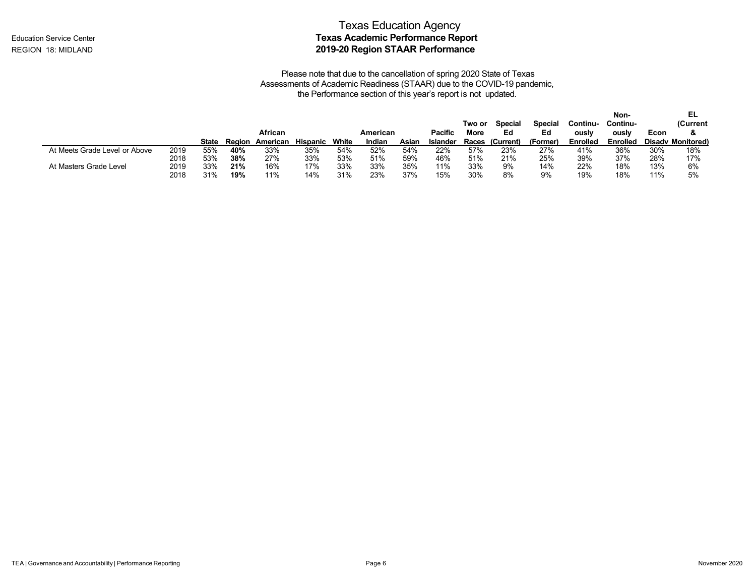|                               |      |       |        | African  |                 |       | American |       | <b>Pacific</b>  | Two or<br>More | <b>Special</b><br>Ed | <b>Special</b><br>Ed | Continu-<br>ously | Non-<br>Continu-<br>ously | Econ   | EL<br>(Current           |
|-------------------------------|------|-------|--------|----------|-----------------|-------|----------|-------|-----------------|----------------|----------------------|----------------------|-------------------|---------------------------|--------|--------------------------|
|                               |      | State | Region | American | <b>Hispanic</b> | White | Indian   | Asian | <b>Islander</b> |                | Races (Current)      | (Former              | <b>Enrolled</b>   | <b>Enrolled</b>           |        | <b>Disady Monitored)</b> |
| At Meets Grade Level or Above | 2019 | 55%   | 40%    | 33%      | 35%             | 54%   | 52%      | 54%   | 22%             | 57%            | 23%                  | 27%                  | 41%               | 36%                       | 30%    | 18%                      |
|                               | 2018 | 53%   | 38%    | 27%      | 33%             | 53%   | 51%      | 59%   | 46%             | 51%            | 21%                  | 25%                  | 39%               | 37%                       | 28%    | 17%                      |
| At Masters Grade Level        | 2019 | 33%   | 21%    | 16%      | 17%             | 33%   | 33%      | 35%   | 11%             | 33%            | 9%                   | 14%                  | 22%               | 18%                       | 13%    | 6%                       |
|                               | 2018 | 31%   | 19%    | 11%      | 14%             | 31%   | 23%      | 37%   | 15%             | 30%            | 8%                   | 9%                   | 19%               | 18%                       | $11\%$ | 5%                       |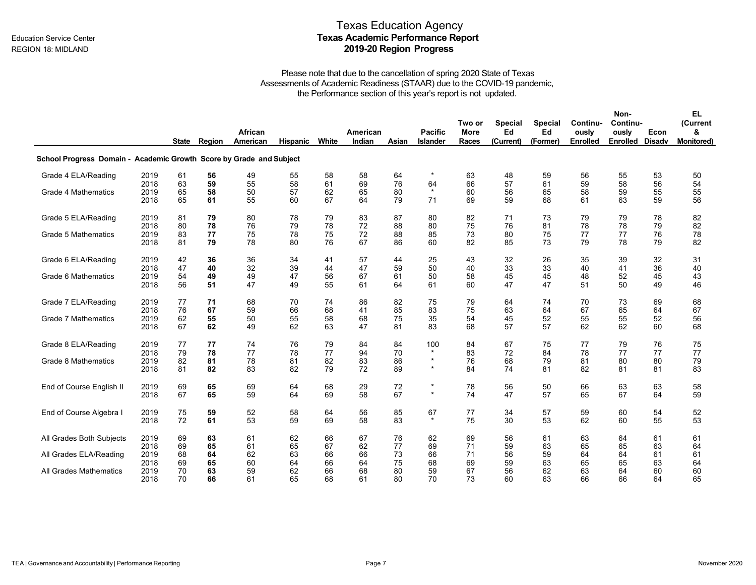## Texas Education Agency Education Service Center **Texas Academic Performance Report** REGION 18: MIDLAND **2019-20 Region Progress**

|                                                                     |      |              |        | African  |                 |       | American |       | <b>Pacific</b>  | Two or<br><b>More</b> | <b>Special</b><br>Ed | <b>Special</b><br>Ed | Continu-<br>ously | Non-<br>Continu-<br>ously | Econ | EL<br>(Current<br>& |
|---------------------------------------------------------------------|------|--------------|--------|----------|-----------------|-------|----------|-------|-----------------|-----------------------|----------------------|----------------------|-------------------|---------------------------|------|---------------------|
|                                                                     |      | <b>State</b> | Region | American | <b>Hispanic</b> | White | Indian   | Asian | <b>Islander</b> | <b>Races</b>          | (Current)            | (Former)             | <b>Enrolled</b>   | Enrolled Disadv           |      | <b>Monitored)</b>   |
| School Progress Domain - Academic Growth Score by Grade and Subject |      |              |        |          |                 |       |          |       |                 |                       |                      |                      |                   |                           |      |                     |
| Grade 4 ELA/Reading                                                 | 2019 | 61           | 56     | 49       | 55              | 58    | 58       | 64    | $\star$         | 63                    | 48                   | 59                   | 56                | 55                        | 53   | 50                  |
|                                                                     | 2018 | 63           | 59     | 55       | 58              | 61    | 69       | 76    | 64              | 66                    | 57                   | 61                   | 59                | 58                        | 56   | 54                  |
| <b>Grade 4 Mathematics</b>                                          | 2019 | 65           | 58     | 50       | 57              | 62    | 65       | 80    | $\star$         | 60                    | 56                   | 65                   | 58                | 59                        | 55   | 55                  |
|                                                                     | 2018 | 65           | 61     | 55       | 60              | 67    | 64       | 79    | 71              | 69                    | 59                   | 68                   | 61                | 63                        | 59   | 56                  |
| Grade 5 ELA/Reading                                                 | 2019 | 81           | 79     | 80       | 78              | 79    | 83       | 87    | 80              | 82                    | 71                   | 73                   | 79                | 79                        | 78   | 82                  |
|                                                                     | 2018 | 80           | 78     | 76       | 79              | 78    | 72       | 88    | 80              | 75                    | 76                   | 81                   | 78                | 78                        | 79   | 82                  |
| <b>Grade 5 Mathematics</b>                                          | 2019 | 83           | 77     | 75       | 78              | 75    | 72       | 88    | 85              | 73                    | 80                   | 75                   | 77                | 77                        | 76   | 78                  |
|                                                                     | 2018 | 81           | 79     | 78       | 80              | 76    | 67       | 86    | 60              | 82                    | 85                   | 73                   | 79                | 78                        | 79   | 82                  |
| Grade 6 ELA/Reading                                                 | 2019 | 42           | 36     | 36       | 34              | 41    | 57       | 44    | 25              | 43                    | 32                   | 26                   | 35                | 39                        | 32   | 31                  |
|                                                                     | 2018 | 47           | 40     | 32       | 39              | 44    | 47       | 59    | 50              | 40                    | 33                   | 33                   | 40                | 41                        | 36   | 40                  |
| Grade 6 Mathematics                                                 | 2019 | 54           | 49     | 49       | 47              | 56    | 67       | 61    | 50              | 58                    | 45                   | 45                   | 48                | 52                        | 45   | 43                  |
|                                                                     | 2018 | 56           | 51     | 47       | 49              | 55    | 61       | 64    | 61              | 60                    | 47                   | 47                   | 51                | 50                        | 49   | 46                  |
| Grade 7 ELA/Reading                                                 | 2019 | 77           | 71     | 68       | 70              | 74    | 86       | 82    | 75              | 79                    | 64                   | 74                   | 70                | 73                        | 69   | 68                  |
|                                                                     | 2018 | 76           | 67     | 59       | 66              | 68    | 41       | 85    | 83              | 75                    | 63                   | 64                   | 67                | 65                        | 64   | 67                  |
| <b>Grade 7 Mathematics</b>                                          | 2019 | 62           | 55     | 50       | 55              | 58    | 68       | 75    | 35              | 54                    | 45                   | 52                   | 55                | 55                        | 52   | 56                  |
|                                                                     | 2018 | 67           | 62     | 49       | 62              | 63    | 47       | 81    | 83              | 68                    | 57                   | 57                   | 62                | 62                        | 60   | 68                  |
| Grade 8 ELA/Reading                                                 | 2019 | 77           | 77     | 74       | 76              | 79    | 84       | 84    | 100             | 84                    | 67                   | 75                   | 77                | 79                        | 76   | 75                  |
|                                                                     | 2018 | 79           | 78     | 77       | 78              | 77    | 94       | 70    | $\star$         | 83                    | 72                   | 84                   | 78                | 77                        | 77   | 77                  |
| Grade 8 Mathematics                                                 | 2019 | 82           | 81     | 78       | 81              | 82    | 83       | 86    | $\star$         | 76                    | 68                   | 79                   | 81                | 80                        | 80   | 79                  |
|                                                                     | 2018 | 81           | 82     | 83       | 82              | 79    | 72       | 89    | $\star$         | 84                    | 74                   | 81                   | 82                | 81                        | 81   | 83                  |
| End of Course English II                                            | 2019 | 69           | 65     | 69       | 64              | 68    | 29       | 72    | $\star$         | 78                    | 56                   | 50                   | 66                | 63                        | 63   | 58                  |
|                                                                     | 2018 | 67           | 65     | 59       | 64              | 69    | 58       | 67    | $\star$         | 74                    | 47                   | 57                   | 65                | 67                        | 64   | 59                  |
| End of Course Algebra I                                             | 2019 | 75           | 59     | 52       | 58              | 64    | 56       | 85    | 67              | 77                    | 34                   | 57                   | 59                | 60                        | 54   | 52                  |
|                                                                     | 2018 | 72           | 61     | 53       | 59              | 69    | 58       | 83    | $\star$         | 75                    | 30                   | 53                   | 62                | 60                        | 55   | 53                  |
| All Grades Both Subjects                                            | 2019 | 69           | 63     | 61       | 62              | 66    | 67       | 76    | 62              | 69                    | 56                   | 61                   | 63                | 64                        | 61   | 61                  |
|                                                                     | 2018 | 69           | 65     | 61       | 65              | 67    | 62       | 77    | 69              | 71                    | 59                   | 63                   | 65                | 65                        | 63   | 64                  |
| All Grades ELA/Reading                                              | 2019 | 68           | 64     | 62       | 63              | 66    | 66       | 73    | 66              | 71                    | 56                   | 59                   | 64                | 64                        | 61   | 61                  |
|                                                                     | 2018 | 69           | 65     | 60       | 64              | 66    | 64       | 75    | 68              | 69                    | 59                   | 63                   | 65                | 65                        | 63   | 64                  |
| All Grades Mathematics                                              | 2019 | 70           | 63     | 59       | 62              | 66    | 68       | 80    | 59              | 67                    | 56                   | 62                   | 63                | 64                        | 60   | 60                  |
|                                                                     | 2018 | 70           | 66     | 61       | 65              | 68    | 61       | 80    | 70              | 73                    | 60                   | 63                   | 66                | 66                        | 64   | 65                  |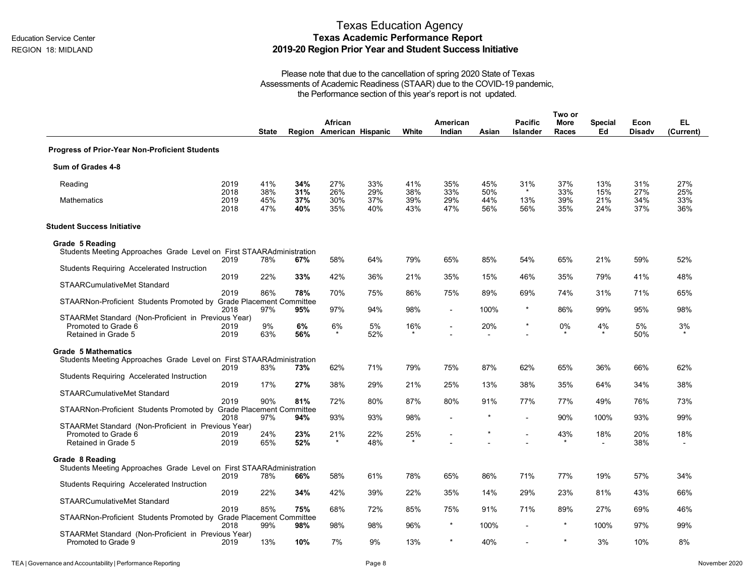# Texas Education Agency **Texas Academic Performance Report 2019-20 Region Prior Year and Student Success Initiative**

|                                                                            |                      | <b>State</b>      |                   | African<br>Region American Hispanic |                   | White             | American<br>Indian | Asian             | <b>Pacific</b><br><b>Islander</b> | Two or<br><b>More</b><br>Races | <b>Special</b><br>Ed | Econ<br><b>Disadv</b> | EL<br>(Current)   |
|----------------------------------------------------------------------------|----------------------|-------------------|-------------------|-------------------------------------|-------------------|-------------------|--------------------|-------------------|-----------------------------------|--------------------------------|----------------------|-----------------------|-------------------|
| <b>Progress of Prior-Year Non-Proficient Students</b>                      |                      |                   |                   |                                     |                   |                   |                    |                   |                                   |                                |                      |                       |                   |
| Sum of Grades 4-8                                                          |                      |                   |                   |                                     |                   |                   |                    |                   |                                   |                                |                      |                       |                   |
| Reading                                                                    | 2019                 | 41%               | 34%               | 27%                                 | 33%               | 41%               | 35%                | 45%               | 31%                               | 37%                            | 13%                  | 31%                   | 27%               |
| Mathematics                                                                | 2018<br>2019<br>2018 | 38%<br>45%<br>47% | 31%<br>37%<br>40% | 26%<br>30%<br>35%                   | 29%<br>37%<br>40% | 38%<br>39%<br>43% | 33%<br>29%<br>47%  | 50%<br>44%<br>56% | $\star$<br>13%<br>56%             | 33%<br>39%<br>35%              | 15%<br>21%<br>24%    | 27%<br>34%<br>37%     | 25%<br>33%<br>36% |
| <b>Student Success Initiative</b>                                          |                      |                   |                   |                                     |                   |                   |                    |                   |                                   |                                |                      |                       |                   |
| Grade 5 Reading                                                            |                      |                   |                   |                                     |                   |                   |                    |                   |                                   |                                |                      |                       |                   |
| Students Meeting Approaches Grade Level on First STAARAdministration       | 2019                 | 78%               | 67%               | 58%                                 | 64%               | 79%               | 65%                | 85%               | 54%                               | 65%                            | 21%                  | 59%                   | 52%               |
| Students Requiring Accelerated Instruction                                 | 2019                 | 22%               | 33%               | 42%                                 | 36%               | 21%               | 35%                | 15%               | 46%                               | 35%                            | 79%                  | 41%                   | 48%               |
| STAARCumulativeMet Standard                                                | 2019                 | 86%               | 78%               | 70%                                 | 75%               | 86%               | 75%                | 89%               | 69%                               | 74%                            | 31%                  | 71%                   | 65%               |
| STAARNon-Proficient Students Promoted by Grade Placement Committee         | 2018                 | 97%               | 95%               | 97%                                 | 94%               | 98%               | $\overline{a}$     | 100%              | $\star$                           | 86%                            | 99%                  | 95%                   | 98%               |
| STAARMet Standard (Non-Proficient in Previous Year)<br>Promoted to Grade 6 | 2019                 | 9%                | 6%                | 6%                                  | 5%                | 16%               | $\sim$             | 20%               | $\star$                           | 0%                             | 4%                   | 5%                    | 3%                |
| Retained in Grade 5                                                        | 2019                 | 63%               | 56%               |                                     | 52%               |                   |                    |                   |                                   |                                |                      | 50%                   |                   |
| <b>Grade 5 Mathematics</b>                                                 |                      |                   |                   |                                     |                   |                   |                    |                   |                                   |                                |                      |                       |                   |
| Students Meeting Approaches Grade Level on First STAARAdministration       | 2019                 | 83%               | 73%               | 62%                                 | 71%               | 79%               | 75%                | 87%               | 62%                               | 65%                            | 36%                  | 66%                   | 62%               |
| Students Requiring Accelerated Instruction                                 | 2019                 | 17%               | 27%               | 38%                                 | 29%               | 21%               | 25%                | 13%               | 38%                               | 35%                            | 64%                  | 34%                   | 38%               |
| <b>STAARCumulativeMet Standard</b>                                         | 2019                 | 90%               | 81%               | 72%                                 | 80%               | 87%               | 80%                | 91%               | 77%                               | 77%                            | 49%                  | 76%                   | 73%               |
| STAARNon-Proficient Students Promoted by Grade Placement Committee         | 2018                 | 97%               | 94%               | 93%                                 | 93%               | 98%               | $\blacksquare$     | $\star$           | $\overline{\phantom{a}}$          | 90%                            | 100%                 | 93%                   | 99%               |
| STAARMet Standard (Non-Proficient in Previous Year)<br>Promoted to Grade 6 | 2019                 | 24%               | 23%               | 21%                                 | 22%               | 25%               |                    |                   | $\overline{\phantom{a}}$          | 43%                            | 18%                  | 20%                   | 18%               |
| Retained in Grade 5                                                        | 2019                 | 65%               | 52%               |                                     | 48%               |                   |                    |                   |                                   |                                |                      | 38%                   |                   |
| Grade 8 Reading                                                            |                      |                   |                   |                                     |                   |                   |                    |                   |                                   |                                |                      |                       |                   |
| Students Meeting Approaches Grade Level on First STAARAdministration       | 2019                 | 78%               | 66%               | 58%                                 | 61%               | 78%               | 65%                | 86%               | 71%                               | 77%                            | 19%                  | 57%                   | 34%               |
| Students Requiring Accelerated Instruction                                 | 2019                 | 22%               | 34%               | 42%                                 | 39%               | 22%               | 35%                | 14%               | 29%                               | 23%                            | 81%                  | 43%                   | 66%               |
| <b>STAARCumulativeMet Standard</b>                                         | 2019                 | 85%               | 75%               | 68%                                 | 72%               | 85%               | 75%                | 91%               | 71%                               | 89%                            | 27%                  | 69%                   | 46%               |
| STAARNon-Proficient Students Promoted by Grade Placement Committee         | 2018                 | 99%               | 98%               | 98%                                 | 98%               | 96%               | $\star$            | 100%              |                                   | $\star$                        | 100%                 | 97%                   | 99%               |
| STAARMet Standard (Non-Proficient in Previous Year)<br>Promoted to Grade 9 | 2019                 | 13%               | 10%               | 7%                                  | 9%                | 13%               | $\star$            | 40%               |                                   |                                | 3%                   | 10%                   | 8%                |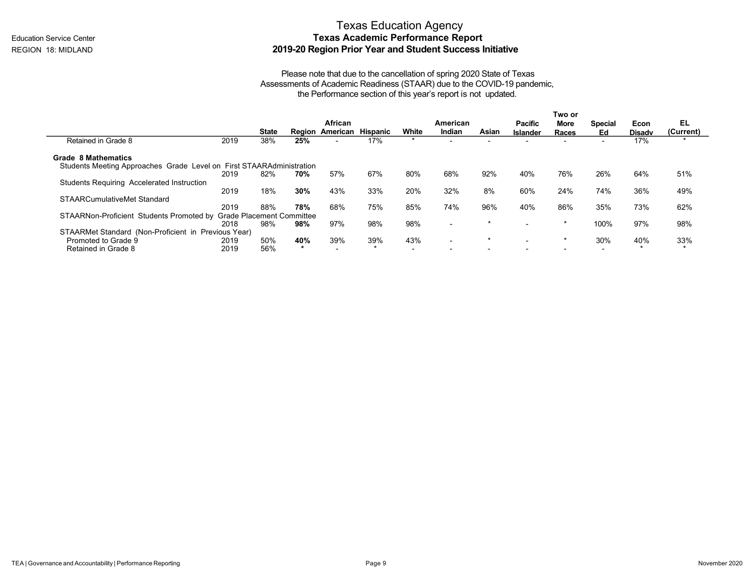# Texas Education Agency **Texas Academic Performance Report 2019-20 Region Prior Year and Student Success Initiative**

|                                                                      |                                  |       |     |                          |     |                          |                          |                          |                          | Two or |                |               |           |
|----------------------------------------------------------------------|----------------------------------|-------|-----|--------------------------|-----|--------------------------|--------------------------|--------------------------|--------------------------|--------|----------------|---------------|-----------|
|                                                                      |                                  |       |     | African                  |     |                          | American                 |                          | <b>Pacific</b>           | More   | <b>Special</b> | Econ          | EL        |
|                                                                      |                                  | State |     | Region American Hispanic |     | White                    | Indian                   | <b>Asian</b>             | <b>Islander</b>          | Races  | Ed             | <b>Disadv</b> | (Current) |
| Retained in Grade 8                                                  | 2019                             | 38%   | 25% | $\overline{\phantom{a}}$ | 17% | $\star$                  |                          | $\overline{\phantom{0}}$ |                          |        | -              | 17%           | $\star$   |
| Grade 8 Mathematics                                                  |                                  |       |     |                          |     |                          |                          |                          |                          |        |                |               |           |
| Students Meeting Approaches Grade Level on First STAARAdministration |                                  |       |     |                          |     |                          |                          |                          |                          |        |                |               |           |
|                                                                      | 2019                             | 82%   | 70% | 57%                      | 67% | 80%                      | 68%                      | 92%                      | 40%                      | 76%    | 26%            | 64%           | 51%       |
| Students Requiring Accelerated Instruction                           |                                  |       |     |                          |     |                          |                          |                          |                          |        |                |               |           |
|                                                                      | 2019                             | 18%   | 30% | 43%                      | 33% | 20%                      | 32%                      | 8%                       | 60%                      | 24%    | 74%            | 36%           | 49%       |
| STAARCumulativeMet Standard                                          |                                  |       |     |                          |     |                          |                          |                          |                          |        |                |               |           |
|                                                                      | 2019                             | 88%   | 78% | 68%                      | 75% | 85%                      | 74%                      | 96%                      | 40%                      | 86%    | 35%            | 73%           | 62%       |
| STAARNon-Proficient Students Promoted by                             | <b>Grade Placement Committee</b> |       |     |                          |     |                          |                          |                          |                          |        |                |               |           |
|                                                                      | 2018                             | 98%   | 98% | 97%                      | 98% | 98%                      | $\overline{\phantom{0}}$ | $\star$                  |                          |        | 100%           | 97%           | 98%       |
| STAARMet Standard (Non-Proficient in Previous Year)                  |                                  |       |     |                          |     |                          |                          |                          |                          |        |                |               |           |
| Promoted to Grade 9                                                  | 2019                             | 50%   | 40% | 39%                      | 39% | 43%                      | $\overline{\phantom{0}}$ | $\star$                  | $\overline{\phantom{0}}$ |        | 30%            | 40%           | 33%       |
| Retained in Grade 8                                                  | 2019                             | 56%   |     |                          |     | $\overline{\phantom{a}}$ |                          |                          |                          |        |                |               | $\star$   |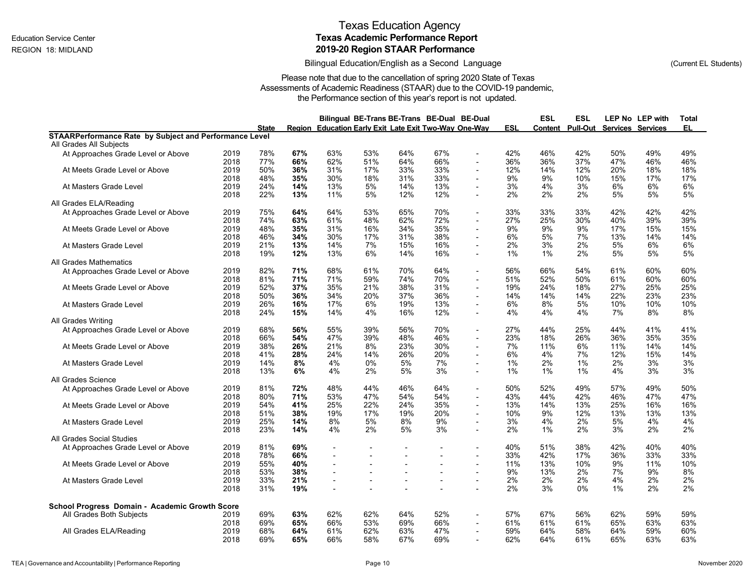### Bilingual Education/English as a Second Language

(Current EL Students)

| Pull-Out<br>Region Education Early Exit Late Exit Two-Way One-Way<br>ESL<br>Content<br>EL<br><b>State</b><br><b>Services Services</b><br><b>STAARPerformance Rate by Subject and Performance Level</b><br>All Grades All Subjects<br>78%<br>67%<br>63%<br>53%<br>64%<br>67%<br>42%<br>46%<br>42%<br>50%<br>49%<br>49%<br>At Approaches Grade Level or Above<br>2019<br>$\blacksquare$<br>2018<br>77%<br>66%<br>62%<br>51%<br>64%<br>66%<br>36%<br>36%<br>37%<br>47%<br>46%<br>46%<br>2019<br>33%<br>12%<br>20%<br>18%<br>At Meets Grade Level or Above<br>50%<br>36%<br>31%<br>17%<br>33%<br>14%<br>12%<br>18%<br>$\overline{\phantom{a}}$<br>33%<br>2018<br>48%<br>35%<br>30%<br>18%<br>31%<br>9%<br>9%<br>10%<br>15%<br>17%<br>17%<br>At Masters Grade Level<br>24%<br>14%<br>13%<br>5%<br>14%<br>13%<br>3%<br>4%<br>3%<br>6%<br>6%<br>6%<br>2019<br>$\overline{\phantom{a}}$<br>22%<br>13%<br>11%<br>5%<br>12%<br>12%<br>2%<br>2%<br>2%<br>5%<br>5%<br>5%<br>2018<br>All Grades ELA/Reading<br>2019<br>75%<br>64%<br>64%<br>53%<br>65%<br>70%<br>33%<br>33%<br>33%<br>42%<br>42%<br>42%<br>At Approaches Grade Level or Above<br>$\overline{\phantom{a}}$<br>72%<br>39%<br>39%<br>2018<br>74%<br>63%<br>61%<br>48%<br>62%<br>27%<br>25%<br>30%<br>40%<br>$\blacksquare$<br>2019<br>48%<br>35%<br>31%<br>16%<br>34%<br>35%<br>9%<br>9%<br>9%<br>17%<br>15%<br>15%<br>At Meets Grade Level or Above<br>2018<br>46%<br>34%<br>30%<br>17%<br>31%<br>38%<br>6%<br>5%<br>7%<br>13%<br>14%<br>14%<br>2019<br>21%<br>13%<br>14%<br>7%<br>15%<br>16%<br>2%<br>3%<br>2%<br>5%<br>6%<br>6%<br>At Masters Grade Level<br>$\overline{\phantom{a}}$<br>2018<br>19%<br>12%<br>13%<br>6%<br>14%<br>16%<br>$1\%$<br>1%<br>2%<br>5%<br>5%<br>5%<br>All Grades Mathematics<br>2019<br>82%<br>71%<br>68%<br>61%<br>70%<br>64%<br>56%<br>66%<br>54%<br>61%<br>60%<br>60%<br>At Approaches Grade Level or Above<br>$\blacksquare$<br>2018<br>81%<br>71%<br>71%<br>59%<br>74%<br>70%<br>51%<br>52%<br>50%<br>61%<br>60%<br>60%<br>$\overline{\phantom{a}}$<br>2019<br>52%<br>37%<br>35%<br>21%<br>38%<br>31%<br>19%<br>24%<br>18%<br>27%<br>25%<br>25%<br>At Meets Grade Level or Above<br>$\blacksquare$<br>36%<br>23%<br>2018<br>50%<br>36%<br>34%<br>20%<br>37%<br>14%<br>14%<br>14%<br>22%<br>23%<br>$\sim$<br>26%<br>16%<br>17%<br>6%<br>19%<br>13%<br>6%<br>8%<br>5%<br>10%<br>10%<br>10%<br>2019<br>At Masters Grade Level<br>24%<br>15%<br>14%<br>4%<br>16%<br>12%<br>4%<br>4%<br>4%<br>7%<br>8%<br>8%<br>2018<br>$\overline{\phantom{a}}$<br><b>All Grades Writing</b><br>39%<br>41%<br>41%<br>2019<br>68%<br>56%<br>55%<br>56%<br>70%<br>27%<br>44%<br>25%<br>44%<br>At Approaches Grade Level or Above<br>$\overline{\phantom{a}}$<br>39%<br>46%<br>35%<br>2018<br>66%<br>54%<br>47%<br>48%<br>23%<br>18%<br>26%<br>36%<br>35%<br>At Meets Grade Level or Above<br>38%<br>26%<br>21%<br>8%<br>23%<br>30%<br>7%<br>11%<br>6%<br>14%<br>2019<br>11%<br>14%<br>$\overline{\phantom{a}}$<br>2018<br>41%<br>28%<br>24%<br>14%<br>26%<br>20%<br>6%<br>4%<br>7%<br>12%<br>15%<br>14%<br>3%<br>At Masters Grade Level<br>2019<br>14%<br>8%<br>4%<br>0%<br>5%<br>7%<br>1%<br>2%<br>1%<br>2%<br>3%<br>2018<br>13%<br>6%<br>4%<br>2%<br>5%<br>3%<br>1%<br>1%<br>1%<br>4%<br>3%<br>3%<br>$\overline{\phantom{a}}$<br>All Grades Science<br>2019<br>81%<br>72%<br>48%<br>44%<br>46%<br>64%<br>50%<br>52%<br>49%<br>57%<br>49%<br>50%<br>At Approaches Grade Level or Above<br>$\tilde{\phantom{a}}$<br>71%<br>53%<br>47%<br>54%<br>44%<br>42%<br>47%<br>47%<br>2018<br>80%<br>54%<br>43%<br>46%<br>$\blacksquare$<br>At Meets Grade Level or Above<br>2019<br>54%<br>41%<br>22%<br>35%<br>13%<br>13%<br>25%<br>16%<br>25%<br>24%<br>14%<br>16%<br>$\overline{\phantom{a}}$<br>20%<br>2018<br>38%<br>19%<br>17%<br>19%<br>10%<br>9%<br>12%<br>13%<br>13%<br>13%<br>51%<br>$\overline{\phantom{a}}$<br>14%<br>8%<br>5%<br>8%<br>9%<br>3%<br>4%<br>2%<br>5%<br>4%<br>4%<br>At Masters Grade Level<br>2019<br>25%<br>$\overline{\phantom{a}}$<br>23%<br>4%<br>2%<br>5%<br>3%<br>2%<br>1%<br>2%<br>3%<br>2%<br>2%<br>2018<br>14%<br>$\blacksquare$<br>All Grades Social Studies<br>2019<br>81%<br>69%<br>40%<br>51%<br>38%<br>42%<br>40%<br>40%<br>At Approaches Grade Level or Above<br>66%<br>33%<br>33%<br>2018<br>78%<br>42%<br>17%<br>36%<br>33%<br>$\overline{\phantom{a}}$<br>$\overline{\phantom{a}}$<br>$\overline{\phantom{a}}$<br>$\overline{\phantom{a}}$<br>2019<br>55%<br>40%<br>11%<br>13%<br>10%<br>9%<br>11%<br>10%<br>At Meets Grade Level or Above<br>$\overline{\phantom{a}}$<br>$\overline{\phantom{a}}$<br>$\blacksquare$<br>2018<br>53%<br>38%<br>9%<br>13%<br>2%<br>7%<br>9%<br>8%<br>$\overline{\phantom{a}}$<br>$\overline{\phantom{a}}$<br>33%<br>21%<br>2%<br>2%<br>2%<br>4%<br>2%<br>2%<br>2019<br>At Masters Grade Level<br>$\blacksquare$<br>$\overline{\phantom{a}}$<br>$\blacksquare$<br>$\blacksquare$<br>2018<br>31%<br>19%<br>2%<br>3%<br>$0\%$<br>1%<br>2%<br>2%<br>School Progress Domain - Academic Growth Score<br>69%<br>63%<br>62%<br>62%<br>64%<br>52%<br>57%<br>67%<br>56%<br>62%<br>59%<br>59%<br>All Grades Both Subjects<br>2019<br>$\blacksquare$<br>2018<br>69%<br>65%<br>66%<br>53%<br>69%<br>66%<br>61%<br>61%<br>61%<br>65%<br>63%<br>63%<br>All Grades ELA/Reading<br>60%<br>2019<br>68%<br>64%<br>61%<br>62%<br>63%<br>47%<br>59%<br>64%<br>58%<br>64%<br>59%<br>$\blacksquare$ |  |  | Bilingual BE-Trans BE-Trans BE-Dual BE-Dual |  |  | ESL | ESL | LEP No LEP with | Total |
|------------------------------------------------------------------------------------------------------------------------------------------------------------------------------------------------------------------------------------------------------------------------------------------------------------------------------------------------------------------------------------------------------------------------------------------------------------------------------------------------------------------------------------------------------------------------------------------------------------------------------------------------------------------------------------------------------------------------------------------------------------------------------------------------------------------------------------------------------------------------------------------------------------------------------------------------------------------------------------------------------------------------------------------------------------------------------------------------------------------------------------------------------------------------------------------------------------------------------------------------------------------------------------------------------------------------------------------------------------------------------------------------------------------------------------------------------------------------------------------------------------------------------------------------------------------------------------------------------------------------------------------------------------------------------------------------------------------------------------------------------------------------------------------------------------------------------------------------------------------------------------------------------------------------------------------------------------------------------------------------------------------------------------------------------------------------------------------------------------------------------------------------------------------------------------------------------------------------------------------------------------------------------------------------------------------------------------------------------------------------------------------------------------------------------------------------------------------------------------------------------------------------------------------------------------------------------------------------------------------------------------------------------------------------------------------------------------------------------------------------------------------------------------------------------------------------------------------------------------------------------------------------------------------------------------------------------------------------------------------------------------------------------------------------------------------------------------------------------------------------------------------------------------------------------------------------------------------------------------------------------------------------------------------------------------------------------------------------------------------------------------------------------------------------------------------------------------------------------------------------------------------------------------------------------------------------------------------------------------------------------------------------------------------------------------------------------------------------------------------------------------------------------------------------------------------------------------------------------------------------------------------------------------------------------------------------------------------------------------------------------------------------------------------------------------------------------------------------------------------------------------------------------------------------------------------------------------------------------------------------------------------------------------------------------------------------------------------------------------------------------------------------------------------------------------------------------------------------------------------------------------------------------------------------------------------------------------------------------------------------------------------------------------------------------------------------------------------------------------------------------------------------------------------------------------------------------------------------------------------------------------------------------------------------------------------------------------------------------------------------------------------------------------------------------------------------------------------------------------------------------------------------------------------------------------------------------------------------------------------------------------------------------------------------------------------------------------------------------------------------------------------------------------|--|--|---------------------------------------------|--|--|-----|-----|-----------------|-------|
|                                                                                                                                                                                                                                                                                                                                                                                                                                                                                                                                                                                                                                                                                                                                                                                                                                                                                                                                                                                                                                                                                                                                                                                                                                                                                                                                                                                                                                                                                                                                                                                                                                                                                                                                                                                                                                                                                                                                                                                                                                                                                                                                                                                                                                                                                                                                                                                                                                                                                                                                                                                                                                                                                                                                                                                                                                                                                                                                                                                                                                                                                                                                                                                                                                                                                                                                                                                                                                                                                                                                                                                                                                                                                                                                                                                                                                                                                                                                                                                                                                                                                                                                                                                                                                                                                                                                                                                                                                                                                                                                                                                                                                                                                                                                                                                                                                                                                                                                                                                                                                                                                                                                                                                                                                                                                                                                                                                                            |  |  |                                             |  |  |     |     |                 |       |
|                                                                                                                                                                                                                                                                                                                                                                                                                                                                                                                                                                                                                                                                                                                                                                                                                                                                                                                                                                                                                                                                                                                                                                                                                                                                                                                                                                                                                                                                                                                                                                                                                                                                                                                                                                                                                                                                                                                                                                                                                                                                                                                                                                                                                                                                                                                                                                                                                                                                                                                                                                                                                                                                                                                                                                                                                                                                                                                                                                                                                                                                                                                                                                                                                                                                                                                                                                                                                                                                                                                                                                                                                                                                                                                                                                                                                                                                                                                                                                                                                                                                                                                                                                                                                                                                                                                                                                                                                                                                                                                                                                                                                                                                                                                                                                                                                                                                                                                                                                                                                                                                                                                                                                                                                                                                                                                                                                                                            |  |  |                                             |  |  |     |     |                 |       |
|                                                                                                                                                                                                                                                                                                                                                                                                                                                                                                                                                                                                                                                                                                                                                                                                                                                                                                                                                                                                                                                                                                                                                                                                                                                                                                                                                                                                                                                                                                                                                                                                                                                                                                                                                                                                                                                                                                                                                                                                                                                                                                                                                                                                                                                                                                                                                                                                                                                                                                                                                                                                                                                                                                                                                                                                                                                                                                                                                                                                                                                                                                                                                                                                                                                                                                                                                                                                                                                                                                                                                                                                                                                                                                                                                                                                                                                                                                                                                                                                                                                                                                                                                                                                                                                                                                                                                                                                                                                                                                                                                                                                                                                                                                                                                                                                                                                                                                                                                                                                                                                                                                                                                                                                                                                                                                                                                                                                            |  |  |                                             |  |  |     |     |                 |       |
|                                                                                                                                                                                                                                                                                                                                                                                                                                                                                                                                                                                                                                                                                                                                                                                                                                                                                                                                                                                                                                                                                                                                                                                                                                                                                                                                                                                                                                                                                                                                                                                                                                                                                                                                                                                                                                                                                                                                                                                                                                                                                                                                                                                                                                                                                                                                                                                                                                                                                                                                                                                                                                                                                                                                                                                                                                                                                                                                                                                                                                                                                                                                                                                                                                                                                                                                                                                                                                                                                                                                                                                                                                                                                                                                                                                                                                                                                                                                                                                                                                                                                                                                                                                                                                                                                                                                                                                                                                                                                                                                                                                                                                                                                                                                                                                                                                                                                                                                                                                                                                                                                                                                                                                                                                                                                                                                                                                                            |  |  |                                             |  |  |     |     |                 |       |
|                                                                                                                                                                                                                                                                                                                                                                                                                                                                                                                                                                                                                                                                                                                                                                                                                                                                                                                                                                                                                                                                                                                                                                                                                                                                                                                                                                                                                                                                                                                                                                                                                                                                                                                                                                                                                                                                                                                                                                                                                                                                                                                                                                                                                                                                                                                                                                                                                                                                                                                                                                                                                                                                                                                                                                                                                                                                                                                                                                                                                                                                                                                                                                                                                                                                                                                                                                                                                                                                                                                                                                                                                                                                                                                                                                                                                                                                                                                                                                                                                                                                                                                                                                                                                                                                                                                                                                                                                                                                                                                                                                                                                                                                                                                                                                                                                                                                                                                                                                                                                                                                                                                                                                                                                                                                                                                                                                                                            |  |  |                                             |  |  |     |     |                 |       |
|                                                                                                                                                                                                                                                                                                                                                                                                                                                                                                                                                                                                                                                                                                                                                                                                                                                                                                                                                                                                                                                                                                                                                                                                                                                                                                                                                                                                                                                                                                                                                                                                                                                                                                                                                                                                                                                                                                                                                                                                                                                                                                                                                                                                                                                                                                                                                                                                                                                                                                                                                                                                                                                                                                                                                                                                                                                                                                                                                                                                                                                                                                                                                                                                                                                                                                                                                                                                                                                                                                                                                                                                                                                                                                                                                                                                                                                                                                                                                                                                                                                                                                                                                                                                                                                                                                                                                                                                                                                                                                                                                                                                                                                                                                                                                                                                                                                                                                                                                                                                                                                                                                                                                                                                                                                                                                                                                                                                            |  |  |                                             |  |  |     |     |                 |       |
|                                                                                                                                                                                                                                                                                                                                                                                                                                                                                                                                                                                                                                                                                                                                                                                                                                                                                                                                                                                                                                                                                                                                                                                                                                                                                                                                                                                                                                                                                                                                                                                                                                                                                                                                                                                                                                                                                                                                                                                                                                                                                                                                                                                                                                                                                                                                                                                                                                                                                                                                                                                                                                                                                                                                                                                                                                                                                                                                                                                                                                                                                                                                                                                                                                                                                                                                                                                                                                                                                                                                                                                                                                                                                                                                                                                                                                                                                                                                                                                                                                                                                                                                                                                                                                                                                                                                                                                                                                                                                                                                                                                                                                                                                                                                                                                                                                                                                                                                                                                                                                                                                                                                                                                                                                                                                                                                                                                                            |  |  |                                             |  |  |     |     |                 |       |
|                                                                                                                                                                                                                                                                                                                                                                                                                                                                                                                                                                                                                                                                                                                                                                                                                                                                                                                                                                                                                                                                                                                                                                                                                                                                                                                                                                                                                                                                                                                                                                                                                                                                                                                                                                                                                                                                                                                                                                                                                                                                                                                                                                                                                                                                                                                                                                                                                                                                                                                                                                                                                                                                                                                                                                                                                                                                                                                                                                                                                                                                                                                                                                                                                                                                                                                                                                                                                                                                                                                                                                                                                                                                                                                                                                                                                                                                                                                                                                                                                                                                                                                                                                                                                                                                                                                                                                                                                                                                                                                                                                                                                                                                                                                                                                                                                                                                                                                                                                                                                                                                                                                                                                                                                                                                                                                                                                                                            |  |  |                                             |  |  |     |     |                 |       |
|                                                                                                                                                                                                                                                                                                                                                                                                                                                                                                                                                                                                                                                                                                                                                                                                                                                                                                                                                                                                                                                                                                                                                                                                                                                                                                                                                                                                                                                                                                                                                                                                                                                                                                                                                                                                                                                                                                                                                                                                                                                                                                                                                                                                                                                                                                                                                                                                                                                                                                                                                                                                                                                                                                                                                                                                                                                                                                                                                                                                                                                                                                                                                                                                                                                                                                                                                                                                                                                                                                                                                                                                                                                                                                                                                                                                                                                                                                                                                                                                                                                                                                                                                                                                                                                                                                                                                                                                                                                                                                                                                                                                                                                                                                                                                                                                                                                                                                                                                                                                                                                                                                                                                                                                                                                                                                                                                                                                            |  |  |                                             |  |  |     |     |                 |       |
|                                                                                                                                                                                                                                                                                                                                                                                                                                                                                                                                                                                                                                                                                                                                                                                                                                                                                                                                                                                                                                                                                                                                                                                                                                                                                                                                                                                                                                                                                                                                                                                                                                                                                                                                                                                                                                                                                                                                                                                                                                                                                                                                                                                                                                                                                                                                                                                                                                                                                                                                                                                                                                                                                                                                                                                                                                                                                                                                                                                                                                                                                                                                                                                                                                                                                                                                                                                                                                                                                                                                                                                                                                                                                                                                                                                                                                                                                                                                                                                                                                                                                                                                                                                                                                                                                                                                                                                                                                                                                                                                                                                                                                                                                                                                                                                                                                                                                                                                                                                                                                                                                                                                                                                                                                                                                                                                                                                                            |  |  |                                             |  |  |     |     |                 |       |
|                                                                                                                                                                                                                                                                                                                                                                                                                                                                                                                                                                                                                                                                                                                                                                                                                                                                                                                                                                                                                                                                                                                                                                                                                                                                                                                                                                                                                                                                                                                                                                                                                                                                                                                                                                                                                                                                                                                                                                                                                                                                                                                                                                                                                                                                                                                                                                                                                                                                                                                                                                                                                                                                                                                                                                                                                                                                                                                                                                                                                                                                                                                                                                                                                                                                                                                                                                                                                                                                                                                                                                                                                                                                                                                                                                                                                                                                                                                                                                                                                                                                                                                                                                                                                                                                                                                                                                                                                                                                                                                                                                                                                                                                                                                                                                                                                                                                                                                                                                                                                                                                                                                                                                                                                                                                                                                                                                                                            |  |  |                                             |  |  |     |     |                 |       |
|                                                                                                                                                                                                                                                                                                                                                                                                                                                                                                                                                                                                                                                                                                                                                                                                                                                                                                                                                                                                                                                                                                                                                                                                                                                                                                                                                                                                                                                                                                                                                                                                                                                                                                                                                                                                                                                                                                                                                                                                                                                                                                                                                                                                                                                                                                                                                                                                                                                                                                                                                                                                                                                                                                                                                                                                                                                                                                                                                                                                                                                                                                                                                                                                                                                                                                                                                                                                                                                                                                                                                                                                                                                                                                                                                                                                                                                                                                                                                                                                                                                                                                                                                                                                                                                                                                                                                                                                                                                                                                                                                                                                                                                                                                                                                                                                                                                                                                                                                                                                                                                                                                                                                                                                                                                                                                                                                                                                            |  |  |                                             |  |  |     |     |                 |       |
|                                                                                                                                                                                                                                                                                                                                                                                                                                                                                                                                                                                                                                                                                                                                                                                                                                                                                                                                                                                                                                                                                                                                                                                                                                                                                                                                                                                                                                                                                                                                                                                                                                                                                                                                                                                                                                                                                                                                                                                                                                                                                                                                                                                                                                                                                                                                                                                                                                                                                                                                                                                                                                                                                                                                                                                                                                                                                                                                                                                                                                                                                                                                                                                                                                                                                                                                                                                                                                                                                                                                                                                                                                                                                                                                                                                                                                                                                                                                                                                                                                                                                                                                                                                                                                                                                                                                                                                                                                                                                                                                                                                                                                                                                                                                                                                                                                                                                                                                                                                                                                                                                                                                                                                                                                                                                                                                                                                                            |  |  |                                             |  |  |     |     |                 |       |
|                                                                                                                                                                                                                                                                                                                                                                                                                                                                                                                                                                                                                                                                                                                                                                                                                                                                                                                                                                                                                                                                                                                                                                                                                                                                                                                                                                                                                                                                                                                                                                                                                                                                                                                                                                                                                                                                                                                                                                                                                                                                                                                                                                                                                                                                                                                                                                                                                                                                                                                                                                                                                                                                                                                                                                                                                                                                                                                                                                                                                                                                                                                                                                                                                                                                                                                                                                                                                                                                                                                                                                                                                                                                                                                                                                                                                                                                                                                                                                                                                                                                                                                                                                                                                                                                                                                                                                                                                                                                                                                                                                                                                                                                                                                                                                                                                                                                                                                                                                                                                                                                                                                                                                                                                                                                                                                                                                                                            |  |  |                                             |  |  |     |     |                 |       |
|                                                                                                                                                                                                                                                                                                                                                                                                                                                                                                                                                                                                                                                                                                                                                                                                                                                                                                                                                                                                                                                                                                                                                                                                                                                                                                                                                                                                                                                                                                                                                                                                                                                                                                                                                                                                                                                                                                                                                                                                                                                                                                                                                                                                                                                                                                                                                                                                                                                                                                                                                                                                                                                                                                                                                                                                                                                                                                                                                                                                                                                                                                                                                                                                                                                                                                                                                                                                                                                                                                                                                                                                                                                                                                                                                                                                                                                                                                                                                                                                                                                                                                                                                                                                                                                                                                                                                                                                                                                                                                                                                                                                                                                                                                                                                                                                                                                                                                                                                                                                                                                                                                                                                                                                                                                                                                                                                                                                            |  |  |                                             |  |  |     |     |                 |       |
|                                                                                                                                                                                                                                                                                                                                                                                                                                                                                                                                                                                                                                                                                                                                                                                                                                                                                                                                                                                                                                                                                                                                                                                                                                                                                                                                                                                                                                                                                                                                                                                                                                                                                                                                                                                                                                                                                                                                                                                                                                                                                                                                                                                                                                                                                                                                                                                                                                                                                                                                                                                                                                                                                                                                                                                                                                                                                                                                                                                                                                                                                                                                                                                                                                                                                                                                                                                                                                                                                                                                                                                                                                                                                                                                                                                                                                                                                                                                                                                                                                                                                                                                                                                                                                                                                                                                                                                                                                                                                                                                                                                                                                                                                                                                                                                                                                                                                                                                                                                                                                                                                                                                                                                                                                                                                                                                                                                                            |  |  |                                             |  |  |     |     |                 |       |
|                                                                                                                                                                                                                                                                                                                                                                                                                                                                                                                                                                                                                                                                                                                                                                                                                                                                                                                                                                                                                                                                                                                                                                                                                                                                                                                                                                                                                                                                                                                                                                                                                                                                                                                                                                                                                                                                                                                                                                                                                                                                                                                                                                                                                                                                                                                                                                                                                                                                                                                                                                                                                                                                                                                                                                                                                                                                                                                                                                                                                                                                                                                                                                                                                                                                                                                                                                                                                                                                                                                                                                                                                                                                                                                                                                                                                                                                                                                                                                                                                                                                                                                                                                                                                                                                                                                                                                                                                                                                                                                                                                                                                                                                                                                                                                                                                                                                                                                                                                                                                                                                                                                                                                                                                                                                                                                                                                                                            |  |  |                                             |  |  |     |     |                 |       |
|                                                                                                                                                                                                                                                                                                                                                                                                                                                                                                                                                                                                                                                                                                                                                                                                                                                                                                                                                                                                                                                                                                                                                                                                                                                                                                                                                                                                                                                                                                                                                                                                                                                                                                                                                                                                                                                                                                                                                                                                                                                                                                                                                                                                                                                                                                                                                                                                                                                                                                                                                                                                                                                                                                                                                                                                                                                                                                                                                                                                                                                                                                                                                                                                                                                                                                                                                                                                                                                                                                                                                                                                                                                                                                                                                                                                                                                                                                                                                                                                                                                                                                                                                                                                                                                                                                                                                                                                                                                                                                                                                                                                                                                                                                                                                                                                                                                                                                                                                                                                                                                                                                                                                                                                                                                                                                                                                                                                            |  |  |                                             |  |  |     |     |                 |       |
|                                                                                                                                                                                                                                                                                                                                                                                                                                                                                                                                                                                                                                                                                                                                                                                                                                                                                                                                                                                                                                                                                                                                                                                                                                                                                                                                                                                                                                                                                                                                                                                                                                                                                                                                                                                                                                                                                                                                                                                                                                                                                                                                                                                                                                                                                                                                                                                                                                                                                                                                                                                                                                                                                                                                                                                                                                                                                                                                                                                                                                                                                                                                                                                                                                                                                                                                                                                                                                                                                                                                                                                                                                                                                                                                                                                                                                                                                                                                                                                                                                                                                                                                                                                                                                                                                                                                                                                                                                                                                                                                                                                                                                                                                                                                                                                                                                                                                                                                                                                                                                                                                                                                                                                                                                                                                                                                                                                                            |  |  |                                             |  |  |     |     |                 |       |
|                                                                                                                                                                                                                                                                                                                                                                                                                                                                                                                                                                                                                                                                                                                                                                                                                                                                                                                                                                                                                                                                                                                                                                                                                                                                                                                                                                                                                                                                                                                                                                                                                                                                                                                                                                                                                                                                                                                                                                                                                                                                                                                                                                                                                                                                                                                                                                                                                                                                                                                                                                                                                                                                                                                                                                                                                                                                                                                                                                                                                                                                                                                                                                                                                                                                                                                                                                                                                                                                                                                                                                                                                                                                                                                                                                                                                                                                                                                                                                                                                                                                                                                                                                                                                                                                                                                                                                                                                                                                                                                                                                                                                                                                                                                                                                                                                                                                                                                                                                                                                                                                                                                                                                                                                                                                                                                                                                                                            |  |  |                                             |  |  |     |     |                 |       |
|                                                                                                                                                                                                                                                                                                                                                                                                                                                                                                                                                                                                                                                                                                                                                                                                                                                                                                                                                                                                                                                                                                                                                                                                                                                                                                                                                                                                                                                                                                                                                                                                                                                                                                                                                                                                                                                                                                                                                                                                                                                                                                                                                                                                                                                                                                                                                                                                                                                                                                                                                                                                                                                                                                                                                                                                                                                                                                                                                                                                                                                                                                                                                                                                                                                                                                                                                                                                                                                                                                                                                                                                                                                                                                                                                                                                                                                                                                                                                                                                                                                                                                                                                                                                                                                                                                                                                                                                                                                                                                                                                                                                                                                                                                                                                                                                                                                                                                                                                                                                                                                                                                                                                                                                                                                                                                                                                                                                            |  |  |                                             |  |  |     |     |                 |       |
|                                                                                                                                                                                                                                                                                                                                                                                                                                                                                                                                                                                                                                                                                                                                                                                                                                                                                                                                                                                                                                                                                                                                                                                                                                                                                                                                                                                                                                                                                                                                                                                                                                                                                                                                                                                                                                                                                                                                                                                                                                                                                                                                                                                                                                                                                                                                                                                                                                                                                                                                                                                                                                                                                                                                                                                                                                                                                                                                                                                                                                                                                                                                                                                                                                                                                                                                                                                                                                                                                                                                                                                                                                                                                                                                                                                                                                                                                                                                                                                                                                                                                                                                                                                                                                                                                                                                                                                                                                                                                                                                                                                                                                                                                                                                                                                                                                                                                                                                                                                                                                                                                                                                                                                                                                                                                                                                                                                                            |  |  |                                             |  |  |     |     |                 |       |
|                                                                                                                                                                                                                                                                                                                                                                                                                                                                                                                                                                                                                                                                                                                                                                                                                                                                                                                                                                                                                                                                                                                                                                                                                                                                                                                                                                                                                                                                                                                                                                                                                                                                                                                                                                                                                                                                                                                                                                                                                                                                                                                                                                                                                                                                                                                                                                                                                                                                                                                                                                                                                                                                                                                                                                                                                                                                                                                                                                                                                                                                                                                                                                                                                                                                                                                                                                                                                                                                                                                                                                                                                                                                                                                                                                                                                                                                                                                                                                                                                                                                                                                                                                                                                                                                                                                                                                                                                                                                                                                                                                                                                                                                                                                                                                                                                                                                                                                                                                                                                                                                                                                                                                                                                                                                                                                                                                                                            |  |  |                                             |  |  |     |     |                 |       |
|                                                                                                                                                                                                                                                                                                                                                                                                                                                                                                                                                                                                                                                                                                                                                                                                                                                                                                                                                                                                                                                                                                                                                                                                                                                                                                                                                                                                                                                                                                                                                                                                                                                                                                                                                                                                                                                                                                                                                                                                                                                                                                                                                                                                                                                                                                                                                                                                                                                                                                                                                                                                                                                                                                                                                                                                                                                                                                                                                                                                                                                                                                                                                                                                                                                                                                                                                                                                                                                                                                                                                                                                                                                                                                                                                                                                                                                                                                                                                                                                                                                                                                                                                                                                                                                                                                                                                                                                                                                                                                                                                                                                                                                                                                                                                                                                                                                                                                                                                                                                                                                                                                                                                                                                                                                                                                                                                                                                            |  |  |                                             |  |  |     |     |                 |       |
|                                                                                                                                                                                                                                                                                                                                                                                                                                                                                                                                                                                                                                                                                                                                                                                                                                                                                                                                                                                                                                                                                                                                                                                                                                                                                                                                                                                                                                                                                                                                                                                                                                                                                                                                                                                                                                                                                                                                                                                                                                                                                                                                                                                                                                                                                                                                                                                                                                                                                                                                                                                                                                                                                                                                                                                                                                                                                                                                                                                                                                                                                                                                                                                                                                                                                                                                                                                                                                                                                                                                                                                                                                                                                                                                                                                                                                                                                                                                                                                                                                                                                                                                                                                                                                                                                                                                                                                                                                                                                                                                                                                                                                                                                                                                                                                                                                                                                                                                                                                                                                                                                                                                                                                                                                                                                                                                                                                                            |  |  |                                             |  |  |     |     |                 |       |
|                                                                                                                                                                                                                                                                                                                                                                                                                                                                                                                                                                                                                                                                                                                                                                                                                                                                                                                                                                                                                                                                                                                                                                                                                                                                                                                                                                                                                                                                                                                                                                                                                                                                                                                                                                                                                                                                                                                                                                                                                                                                                                                                                                                                                                                                                                                                                                                                                                                                                                                                                                                                                                                                                                                                                                                                                                                                                                                                                                                                                                                                                                                                                                                                                                                                                                                                                                                                                                                                                                                                                                                                                                                                                                                                                                                                                                                                                                                                                                                                                                                                                                                                                                                                                                                                                                                                                                                                                                                                                                                                                                                                                                                                                                                                                                                                                                                                                                                                                                                                                                                                                                                                                                                                                                                                                                                                                                                                            |  |  |                                             |  |  |     |     |                 |       |
|                                                                                                                                                                                                                                                                                                                                                                                                                                                                                                                                                                                                                                                                                                                                                                                                                                                                                                                                                                                                                                                                                                                                                                                                                                                                                                                                                                                                                                                                                                                                                                                                                                                                                                                                                                                                                                                                                                                                                                                                                                                                                                                                                                                                                                                                                                                                                                                                                                                                                                                                                                                                                                                                                                                                                                                                                                                                                                                                                                                                                                                                                                                                                                                                                                                                                                                                                                                                                                                                                                                                                                                                                                                                                                                                                                                                                                                                                                                                                                                                                                                                                                                                                                                                                                                                                                                                                                                                                                                                                                                                                                                                                                                                                                                                                                                                                                                                                                                                                                                                                                                                                                                                                                                                                                                                                                                                                                                                            |  |  |                                             |  |  |     |     |                 |       |
|                                                                                                                                                                                                                                                                                                                                                                                                                                                                                                                                                                                                                                                                                                                                                                                                                                                                                                                                                                                                                                                                                                                                                                                                                                                                                                                                                                                                                                                                                                                                                                                                                                                                                                                                                                                                                                                                                                                                                                                                                                                                                                                                                                                                                                                                                                                                                                                                                                                                                                                                                                                                                                                                                                                                                                                                                                                                                                                                                                                                                                                                                                                                                                                                                                                                                                                                                                                                                                                                                                                                                                                                                                                                                                                                                                                                                                                                                                                                                                                                                                                                                                                                                                                                                                                                                                                                                                                                                                                                                                                                                                                                                                                                                                                                                                                                                                                                                                                                                                                                                                                                                                                                                                                                                                                                                                                                                                                                            |  |  |                                             |  |  |     |     |                 |       |
|                                                                                                                                                                                                                                                                                                                                                                                                                                                                                                                                                                                                                                                                                                                                                                                                                                                                                                                                                                                                                                                                                                                                                                                                                                                                                                                                                                                                                                                                                                                                                                                                                                                                                                                                                                                                                                                                                                                                                                                                                                                                                                                                                                                                                                                                                                                                                                                                                                                                                                                                                                                                                                                                                                                                                                                                                                                                                                                                                                                                                                                                                                                                                                                                                                                                                                                                                                                                                                                                                                                                                                                                                                                                                                                                                                                                                                                                                                                                                                                                                                                                                                                                                                                                                                                                                                                                                                                                                                                                                                                                                                                                                                                                                                                                                                                                                                                                                                                                                                                                                                                                                                                                                                                                                                                                                                                                                                                                            |  |  |                                             |  |  |     |     |                 |       |
|                                                                                                                                                                                                                                                                                                                                                                                                                                                                                                                                                                                                                                                                                                                                                                                                                                                                                                                                                                                                                                                                                                                                                                                                                                                                                                                                                                                                                                                                                                                                                                                                                                                                                                                                                                                                                                                                                                                                                                                                                                                                                                                                                                                                                                                                                                                                                                                                                                                                                                                                                                                                                                                                                                                                                                                                                                                                                                                                                                                                                                                                                                                                                                                                                                                                                                                                                                                                                                                                                                                                                                                                                                                                                                                                                                                                                                                                                                                                                                                                                                                                                                                                                                                                                                                                                                                                                                                                                                                                                                                                                                                                                                                                                                                                                                                                                                                                                                                                                                                                                                                                                                                                                                                                                                                                                                                                                                                                            |  |  |                                             |  |  |     |     |                 |       |
|                                                                                                                                                                                                                                                                                                                                                                                                                                                                                                                                                                                                                                                                                                                                                                                                                                                                                                                                                                                                                                                                                                                                                                                                                                                                                                                                                                                                                                                                                                                                                                                                                                                                                                                                                                                                                                                                                                                                                                                                                                                                                                                                                                                                                                                                                                                                                                                                                                                                                                                                                                                                                                                                                                                                                                                                                                                                                                                                                                                                                                                                                                                                                                                                                                                                                                                                                                                                                                                                                                                                                                                                                                                                                                                                                                                                                                                                                                                                                                                                                                                                                                                                                                                                                                                                                                                                                                                                                                                                                                                                                                                                                                                                                                                                                                                                                                                                                                                                                                                                                                                                                                                                                                                                                                                                                                                                                                                                            |  |  |                                             |  |  |     |     |                 |       |
|                                                                                                                                                                                                                                                                                                                                                                                                                                                                                                                                                                                                                                                                                                                                                                                                                                                                                                                                                                                                                                                                                                                                                                                                                                                                                                                                                                                                                                                                                                                                                                                                                                                                                                                                                                                                                                                                                                                                                                                                                                                                                                                                                                                                                                                                                                                                                                                                                                                                                                                                                                                                                                                                                                                                                                                                                                                                                                                                                                                                                                                                                                                                                                                                                                                                                                                                                                                                                                                                                                                                                                                                                                                                                                                                                                                                                                                                                                                                                                                                                                                                                                                                                                                                                                                                                                                                                                                                                                                                                                                                                                                                                                                                                                                                                                                                                                                                                                                                                                                                                                                                                                                                                                                                                                                                                                                                                                                                            |  |  |                                             |  |  |     |     |                 |       |
|                                                                                                                                                                                                                                                                                                                                                                                                                                                                                                                                                                                                                                                                                                                                                                                                                                                                                                                                                                                                                                                                                                                                                                                                                                                                                                                                                                                                                                                                                                                                                                                                                                                                                                                                                                                                                                                                                                                                                                                                                                                                                                                                                                                                                                                                                                                                                                                                                                                                                                                                                                                                                                                                                                                                                                                                                                                                                                                                                                                                                                                                                                                                                                                                                                                                                                                                                                                                                                                                                                                                                                                                                                                                                                                                                                                                                                                                                                                                                                                                                                                                                                                                                                                                                                                                                                                                                                                                                                                                                                                                                                                                                                                                                                                                                                                                                                                                                                                                                                                                                                                                                                                                                                                                                                                                                                                                                                                                            |  |  |                                             |  |  |     |     |                 |       |
|                                                                                                                                                                                                                                                                                                                                                                                                                                                                                                                                                                                                                                                                                                                                                                                                                                                                                                                                                                                                                                                                                                                                                                                                                                                                                                                                                                                                                                                                                                                                                                                                                                                                                                                                                                                                                                                                                                                                                                                                                                                                                                                                                                                                                                                                                                                                                                                                                                                                                                                                                                                                                                                                                                                                                                                                                                                                                                                                                                                                                                                                                                                                                                                                                                                                                                                                                                                                                                                                                                                                                                                                                                                                                                                                                                                                                                                                                                                                                                                                                                                                                                                                                                                                                                                                                                                                                                                                                                                                                                                                                                                                                                                                                                                                                                                                                                                                                                                                                                                                                                                                                                                                                                                                                                                                                                                                                                                                            |  |  |                                             |  |  |     |     |                 |       |
|                                                                                                                                                                                                                                                                                                                                                                                                                                                                                                                                                                                                                                                                                                                                                                                                                                                                                                                                                                                                                                                                                                                                                                                                                                                                                                                                                                                                                                                                                                                                                                                                                                                                                                                                                                                                                                                                                                                                                                                                                                                                                                                                                                                                                                                                                                                                                                                                                                                                                                                                                                                                                                                                                                                                                                                                                                                                                                                                                                                                                                                                                                                                                                                                                                                                                                                                                                                                                                                                                                                                                                                                                                                                                                                                                                                                                                                                                                                                                                                                                                                                                                                                                                                                                                                                                                                                                                                                                                                                                                                                                                                                                                                                                                                                                                                                                                                                                                                                                                                                                                                                                                                                                                                                                                                                                                                                                                                                            |  |  |                                             |  |  |     |     |                 |       |
|                                                                                                                                                                                                                                                                                                                                                                                                                                                                                                                                                                                                                                                                                                                                                                                                                                                                                                                                                                                                                                                                                                                                                                                                                                                                                                                                                                                                                                                                                                                                                                                                                                                                                                                                                                                                                                                                                                                                                                                                                                                                                                                                                                                                                                                                                                                                                                                                                                                                                                                                                                                                                                                                                                                                                                                                                                                                                                                                                                                                                                                                                                                                                                                                                                                                                                                                                                                                                                                                                                                                                                                                                                                                                                                                                                                                                                                                                                                                                                                                                                                                                                                                                                                                                                                                                                                                                                                                                                                                                                                                                                                                                                                                                                                                                                                                                                                                                                                                                                                                                                                                                                                                                                                                                                                                                                                                                                                                            |  |  |                                             |  |  |     |     |                 |       |
|                                                                                                                                                                                                                                                                                                                                                                                                                                                                                                                                                                                                                                                                                                                                                                                                                                                                                                                                                                                                                                                                                                                                                                                                                                                                                                                                                                                                                                                                                                                                                                                                                                                                                                                                                                                                                                                                                                                                                                                                                                                                                                                                                                                                                                                                                                                                                                                                                                                                                                                                                                                                                                                                                                                                                                                                                                                                                                                                                                                                                                                                                                                                                                                                                                                                                                                                                                                                                                                                                                                                                                                                                                                                                                                                                                                                                                                                                                                                                                                                                                                                                                                                                                                                                                                                                                                                                                                                                                                                                                                                                                                                                                                                                                                                                                                                                                                                                                                                                                                                                                                                                                                                                                                                                                                                                                                                                                                                            |  |  |                                             |  |  |     |     |                 |       |
|                                                                                                                                                                                                                                                                                                                                                                                                                                                                                                                                                                                                                                                                                                                                                                                                                                                                                                                                                                                                                                                                                                                                                                                                                                                                                                                                                                                                                                                                                                                                                                                                                                                                                                                                                                                                                                                                                                                                                                                                                                                                                                                                                                                                                                                                                                                                                                                                                                                                                                                                                                                                                                                                                                                                                                                                                                                                                                                                                                                                                                                                                                                                                                                                                                                                                                                                                                                                                                                                                                                                                                                                                                                                                                                                                                                                                                                                                                                                                                                                                                                                                                                                                                                                                                                                                                                                                                                                                                                                                                                                                                                                                                                                                                                                                                                                                                                                                                                                                                                                                                                                                                                                                                                                                                                                                                                                                                                                            |  |  |                                             |  |  |     |     |                 |       |
|                                                                                                                                                                                                                                                                                                                                                                                                                                                                                                                                                                                                                                                                                                                                                                                                                                                                                                                                                                                                                                                                                                                                                                                                                                                                                                                                                                                                                                                                                                                                                                                                                                                                                                                                                                                                                                                                                                                                                                                                                                                                                                                                                                                                                                                                                                                                                                                                                                                                                                                                                                                                                                                                                                                                                                                                                                                                                                                                                                                                                                                                                                                                                                                                                                                                                                                                                                                                                                                                                                                                                                                                                                                                                                                                                                                                                                                                                                                                                                                                                                                                                                                                                                                                                                                                                                                                                                                                                                                                                                                                                                                                                                                                                                                                                                                                                                                                                                                                                                                                                                                                                                                                                                                                                                                                                                                                                                                                            |  |  |                                             |  |  |     |     |                 |       |
|                                                                                                                                                                                                                                                                                                                                                                                                                                                                                                                                                                                                                                                                                                                                                                                                                                                                                                                                                                                                                                                                                                                                                                                                                                                                                                                                                                                                                                                                                                                                                                                                                                                                                                                                                                                                                                                                                                                                                                                                                                                                                                                                                                                                                                                                                                                                                                                                                                                                                                                                                                                                                                                                                                                                                                                                                                                                                                                                                                                                                                                                                                                                                                                                                                                                                                                                                                                                                                                                                                                                                                                                                                                                                                                                                                                                                                                                                                                                                                                                                                                                                                                                                                                                                                                                                                                                                                                                                                                                                                                                                                                                                                                                                                                                                                                                                                                                                                                                                                                                                                                                                                                                                                                                                                                                                                                                                                                                            |  |  |                                             |  |  |     |     |                 |       |
|                                                                                                                                                                                                                                                                                                                                                                                                                                                                                                                                                                                                                                                                                                                                                                                                                                                                                                                                                                                                                                                                                                                                                                                                                                                                                                                                                                                                                                                                                                                                                                                                                                                                                                                                                                                                                                                                                                                                                                                                                                                                                                                                                                                                                                                                                                                                                                                                                                                                                                                                                                                                                                                                                                                                                                                                                                                                                                                                                                                                                                                                                                                                                                                                                                                                                                                                                                                                                                                                                                                                                                                                                                                                                                                                                                                                                                                                                                                                                                                                                                                                                                                                                                                                                                                                                                                                                                                                                                                                                                                                                                                                                                                                                                                                                                                                                                                                                                                                                                                                                                                                                                                                                                                                                                                                                                                                                                                                            |  |  |                                             |  |  |     |     |                 |       |
|                                                                                                                                                                                                                                                                                                                                                                                                                                                                                                                                                                                                                                                                                                                                                                                                                                                                                                                                                                                                                                                                                                                                                                                                                                                                                                                                                                                                                                                                                                                                                                                                                                                                                                                                                                                                                                                                                                                                                                                                                                                                                                                                                                                                                                                                                                                                                                                                                                                                                                                                                                                                                                                                                                                                                                                                                                                                                                                                                                                                                                                                                                                                                                                                                                                                                                                                                                                                                                                                                                                                                                                                                                                                                                                                                                                                                                                                                                                                                                                                                                                                                                                                                                                                                                                                                                                                                                                                                                                                                                                                                                                                                                                                                                                                                                                                                                                                                                                                                                                                                                                                                                                                                                                                                                                                                                                                                                                                            |  |  |                                             |  |  |     |     |                 |       |
|                                                                                                                                                                                                                                                                                                                                                                                                                                                                                                                                                                                                                                                                                                                                                                                                                                                                                                                                                                                                                                                                                                                                                                                                                                                                                                                                                                                                                                                                                                                                                                                                                                                                                                                                                                                                                                                                                                                                                                                                                                                                                                                                                                                                                                                                                                                                                                                                                                                                                                                                                                                                                                                                                                                                                                                                                                                                                                                                                                                                                                                                                                                                                                                                                                                                                                                                                                                                                                                                                                                                                                                                                                                                                                                                                                                                                                                                                                                                                                                                                                                                                                                                                                                                                                                                                                                                                                                                                                                                                                                                                                                                                                                                                                                                                                                                                                                                                                                                                                                                                                                                                                                                                                                                                                                                                                                                                                                                            |  |  |                                             |  |  |     |     |                 |       |
|                                                                                                                                                                                                                                                                                                                                                                                                                                                                                                                                                                                                                                                                                                                                                                                                                                                                                                                                                                                                                                                                                                                                                                                                                                                                                                                                                                                                                                                                                                                                                                                                                                                                                                                                                                                                                                                                                                                                                                                                                                                                                                                                                                                                                                                                                                                                                                                                                                                                                                                                                                                                                                                                                                                                                                                                                                                                                                                                                                                                                                                                                                                                                                                                                                                                                                                                                                                                                                                                                                                                                                                                                                                                                                                                                                                                                                                                                                                                                                                                                                                                                                                                                                                                                                                                                                                                                                                                                                                                                                                                                                                                                                                                                                                                                                                                                                                                                                                                                                                                                                                                                                                                                                                                                                                                                                                                                                                                            |  |  |                                             |  |  |     |     |                 |       |
|                                                                                                                                                                                                                                                                                                                                                                                                                                                                                                                                                                                                                                                                                                                                                                                                                                                                                                                                                                                                                                                                                                                                                                                                                                                                                                                                                                                                                                                                                                                                                                                                                                                                                                                                                                                                                                                                                                                                                                                                                                                                                                                                                                                                                                                                                                                                                                                                                                                                                                                                                                                                                                                                                                                                                                                                                                                                                                                                                                                                                                                                                                                                                                                                                                                                                                                                                                                                                                                                                                                                                                                                                                                                                                                                                                                                                                                                                                                                                                                                                                                                                                                                                                                                                                                                                                                                                                                                                                                                                                                                                                                                                                                                                                                                                                                                                                                                                                                                                                                                                                                                                                                                                                                                                                                                                                                                                                                                            |  |  |                                             |  |  |     |     |                 |       |
|                                                                                                                                                                                                                                                                                                                                                                                                                                                                                                                                                                                                                                                                                                                                                                                                                                                                                                                                                                                                                                                                                                                                                                                                                                                                                                                                                                                                                                                                                                                                                                                                                                                                                                                                                                                                                                                                                                                                                                                                                                                                                                                                                                                                                                                                                                                                                                                                                                                                                                                                                                                                                                                                                                                                                                                                                                                                                                                                                                                                                                                                                                                                                                                                                                                                                                                                                                                                                                                                                                                                                                                                                                                                                                                                                                                                                                                                                                                                                                                                                                                                                                                                                                                                                                                                                                                                                                                                                                                                                                                                                                                                                                                                                                                                                                                                                                                                                                                                                                                                                                                                                                                                                                                                                                                                                                                                                                                                            |  |  |                                             |  |  |     |     |                 |       |
|                                                                                                                                                                                                                                                                                                                                                                                                                                                                                                                                                                                                                                                                                                                                                                                                                                                                                                                                                                                                                                                                                                                                                                                                                                                                                                                                                                                                                                                                                                                                                                                                                                                                                                                                                                                                                                                                                                                                                                                                                                                                                                                                                                                                                                                                                                                                                                                                                                                                                                                                                                                                                                                                                                                                                                                                                                                                                                                                                                                                                                                                                                                                                                                                                                                                                                                                                                                                                                                                                                                                                                                                                                                                                                                                                                                                                                                                                                                                                                                                                                                                                                                                                                                                                                                                                                                                                                                                                                                                                                                                                                                                                                                                                                                                                                                                                                                                                                                                                                                                                                                                                                                                                                                                                                                                                                                                                                                                            |  |  |                                             |  |  |     |     |                 |       |
|                                                                                                                                                                                                                                                                                                                                                                                                                                                                                                                                                                                                                                                                                                                                                                                                                                                                                                                                                                                                                                                                                                                                                                                                                                                                                                                                                                                                                                                                                                                                                                                                                                                                                                                                                                                                                                                                                                                                                                                                                                                                                                                                                                                                                                                                                                                                                                                                                                                                                                                                                                                                                                                                                                                                                                                                                                                                                                                                                                                                                                                                                                                                                                                                                                                                                                                                                                                                                                                                                                                                                                                                                                                                                                                                                                                                                                                                                                                                                                                                                                                                                                                                                                                                                                                                                                                                                                                                                                                                                                                                                                                                                                                                                                                                                                                                                                                                                                                                                                                                                                                                                                                                                                                                                                                                                                                                                                                                            |  |  |                                             |  |  |     |     |                 |       |
|                                                                                                                                                                                                                                                                                                                                                                                                                                                                                                                                                                                                                                                                                                                                                                                                                                                                                                                                                                                                                                                                                                                                                                                                                                                                                                                                                                                                                                                                                                                                                                                                                                                                                                                                                                                                                                                                                                                                                                                                                                                                                                                                                                                                                                                                                                                                                                                                                                                                                                                                                                                                                                                                                                                                                                                                                                                                                                                                                                                                                                                                                                                                                                                                                                                                                                                                                                                                                                                                                                                                                                                                                                                                                                                                                                                                                                                                                                                                                                                                                                                                                                                                                                                                                                                                                                                                                                                                                                                                                                                                                                                                                                                                                                                                                                                                                                                                                                                                                                                                                                                                                                                                                                                                                                                                                                                                                                                                            |  |  |                                             |  |  |     |     |                 |       |
| 2018<br>65%<br>66%<br>58%<br>67%<br>69%<br>62%<br>65%<br>63%<br>63%<br>69%<br>64%<br>61%                                                                                                                                                                                                                                                                                                                                                                                                                                                                                                                                                                                                                                                                                                                                                                                                                                                                                                                                                                                                                                                                                                                                                                                                                                                                                                                                                                                                                                                                                                                                                                                                                                                                                                                                                                                                                                                                                                                                                                                                                                                                                                                                                                                                                                                                                                                                                                                                                                                                                                                                                                                                                                                                                                                                                                                                                                                                                                                                                                                                                                                                                                                                                                                                                                                                                                                                                                                                                                                                                                                                                                                                                                                                                                                                                                                                                                                                                                                                                                                                                                                                                                                                                                                                                                                                                                                                                                                                                                                                                                                                                                                                                                                                                                                                                                                                                                                                                                                                                                                                                                                                                                                                                                                                                                                                                                                   |  |  |                                             |  |  |     |     |                 |       |